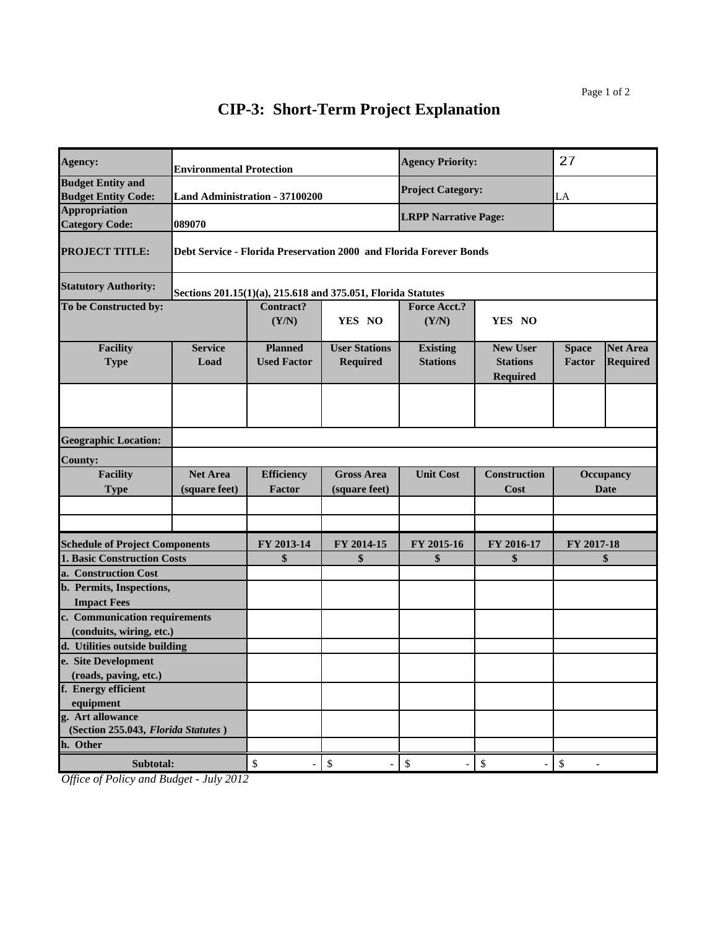| Agency:                                                | <b>Environmental Protection</b>  |                                       |                                                                    | <b>Agency Priority:</b>            |                                                       | 27                     |                                    |
|--------------------------------------------------------|----------------------------------|---------------------------------------|--------------------------------------------------------------------|------------------------------------|-------------------------------------------------------|------------------------|------------------------------------|
| <b>Budget Entity and</b><br><b>Budget Entity Code:</b> |                                  | <b>Land Administration - 37100200</b> |                                                                    | <b>Project Category:</b>           |                                                       | LA                     |                                    |
| <b>Appropriation</b><br><b>Category Code:</b>          | 089070                           |                                       |                                                                    | <b>LRPP Narrative Page:</b>        |                                                       |                        |                                    |
| <b>PROJECT TITLE:</b>                                  |                                  |                                       | Debt Service - Florida Preservation 2000 and Florida Forever Bonds |                                    |                                                       |                        |                                    |
| <b>Statutory Authority:</b>                            |                                  |                                       | Sections 201.15(1)(a), 215.618 and 375.051, Florida Statutes       |                                    |                                                       |                        |                                    |
| To be Constructed by:                                  |                                  | <b>Contract?</b><br>(Y/N)             | YES NO                                                             | <b>Force Acct.?</b><br>(Y/N)       | YES NO                                                |                        |                                    |
| <b>Facility</b><br><b>Type</b>                         | <b>Service</b><br>Load           | <b>Planned</b><br><b>Used Factor</b>  | <b>User Stations</b><br>Required                                   | <b>Existing</b><br><b>Stations</b> | <b>New User</b><br><b>Stations</b><br><b>Required</b> | <b>Space</b><br>Factor | <b>Net Area</b><br><b>Required</b> |
|                                                        |                                  |                                       |                                                                    |                                    |                                                       |                        |                                    |
| <b>Geographic Location:</b>                            |                                  |                                       |                                                                    |                                    |                                                       |                        |                                    |
| <b>County:</b>                                         |                                  |                                       |                                                                    |                                    |                                                       |                        |                                    |
| <b>Facility</b><br><b>Type</b>                         | <b>Net Area</b><br>(square feet) | <b>Efficiency</b><br>Factor           | <b>Gross Area</b><br>(square feet)                                 | <b>Unit Cost</b>                   | <b>Construction</b><br>Cost                           |                        | Occupancy<br><b>Date</b>           |
|                                                        |                                  |                                       |                                                                    |                                    |                                                       |                        |                                    |
| <b>Schedule of Project Components</b>                  |                                  | FY 2013-14                            | FY 2014-15                                                         | FY 2015-16                         | FY 2016-17                                            | FY 2017-18             |                                    |
| <b>1. Basic Construction Costs</b>                     |                                  | \$                                    | \$                                                                 | \$                                 | \$                                                    |                        | \$                                 |
| a. Construction Cost                                   |                                  |                                       |                                                                    |                                    |                                                       |                        |                                    |
| b. Permits, Inspections,                               |                                  |                                       |                                                                    |                                    |                                                       |                        |                                    |
| <b>Impact Fees</b>                                     |                                  |                                       |                                                                    |                                    |                                                       |                        |                                    |
| c. Communication requirements                          |                                  |                                       |                                                                    |                                    |                                                       |                        |                                    |
| (conduits, wiring, etc.)                               |                                  |                                       |                                                                    |                                    |                                                       |                        |                                    |
| d. Utilities outside building<br>e. Site Development   |                                  |                                       |                                                                    |                                    |                                                       |                        |                                    |
| (roads, paving, etc.)                                  |                                  |                                       |                                                                    |                                    |                                                       |                        |                                    |
| f. Energy efficient                                    |                                  |                                       |                                                                    |                                    |                                                       |                        |                                    |
| equipment                                              |                                  |                                       |                                                                    |                                    |                                                       |                        |                                    |
| g. Art allowance                                       |                                  |                                       |                                                                    |                                    |                                                       |                        |                                    |
| (Section 255.043, Florida Statutes)                    |                                  |                                       |                                                                    |                                    |                                                       |                        |                                    |
| h. Other                                               |                                  |                                       |                                                                    |                                    |                                                       |                        |                                    |
| Subtotal:                                              |                                  | \$                                    | $\mathbb{S}$                                                       | \$                                 | $\mathbb{S}$                                          | \$                     |                                    |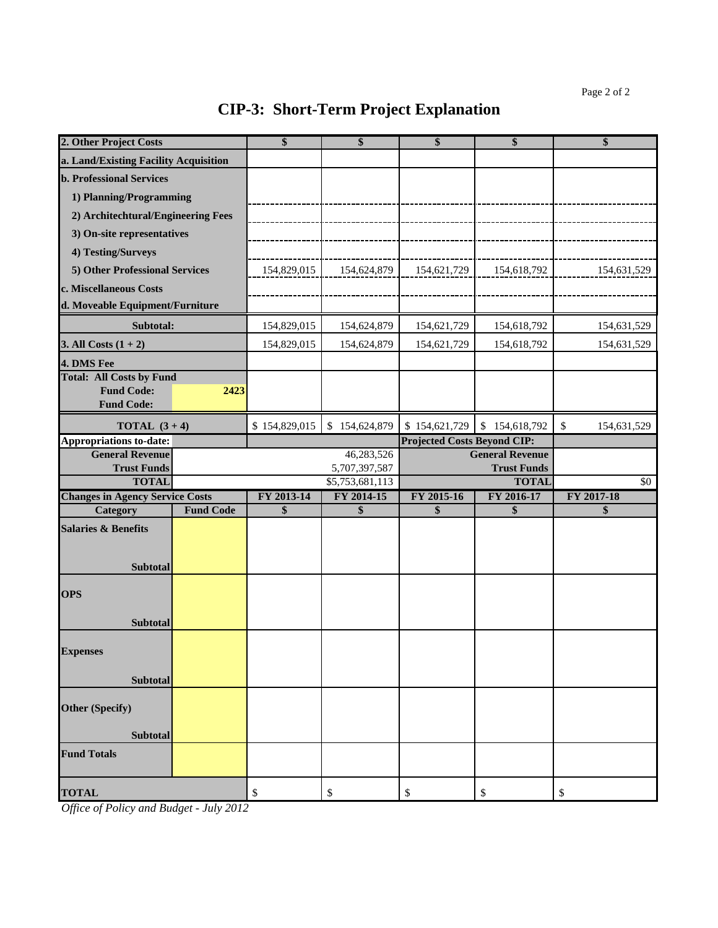| 2. Other Project Costs                        |                  | \$                | \$                          | \$                                 | \$                                           | \$                |
|-----------------------------------------------|------------------|-------------------|-----------------------------|------------------------------------|----------------------------------------------|-------------------|
| a. Land/Existing Facility Acquisition         |                  |                   |                             |                                    |                                              |                   |
| <b>b. Professional Services</b>               |                  |                   |                             |                                    |                                              |                   |
| 1) Planning/Programming                       |                  |                   |                             |                                    |                                              |                   |
| 2) Architechtural/Engineering Fees            |                  |                   |                             |                                    |                                              |                   |
| 3) On-site representatives                    |                  |                   |                             |                                    |                                              |                   |
| 4) Testing/Surveys                            |                  |                   |                             |                                    |                                              |                   |
| 5) Other Professional Services                |                  | 154,829,015       | 154,624,879                 | 154,621,729                        | 154,618,792                                  | 154,631,529       |
| c. Miscellaneous Costs                        |                  |                   |                             |                                    |                                              |                   |
| d. Moveable Equipment/Furniture               |                  |                   |                             |                                    |                                              |                   |
| Subtotal:                                     |                  | 154,829,015       | 154,624,879                 | 154,621,729                        | 154,618,792                                  | 154,631,529       |
| 3. All Costs $(1 + 2)$                        |                  | 154,829,015       | 154,624,879                 | 154,621,729                        | 154,618,792                                  | 154,631,529       |
|                                               |                  |                   |                             |                                    |                                              |                   |
| 4. DMS Fee<br><b>Total: All Costs by Fund</b> |                  |                   |                             |                                    |                                              |                   |
| <b>Fund Code:</b>                             | 2423             |                   |                             |                                    |                                              |                   |
| <b>Fund Code:</b>                             |                  |                   |                             |                                    |                                              |                   |
| <b>TOTAL</b> $(3+4)$                          |                  | \$154,829,015     | \$154,624,879               | \$154,621,729                      | \$154,618,792                                | \$<br>154,631,529 |
| <b>Appropriations to-date:</b>                |                  |                   |                             | <b>Projected Costs Beyond CIP:</b> |                                              |                   |
| <b>General Revenue</b><br><b>Trust Funds</b>  |                  |                   | 46,283,526<br>5,707,397,587 |                                    | <b>General Revenue</b><br><b>Trust Funds</b> |                   |
| <b>TOTAL</b>                                  |                  |                   | \$5,753,681,113             |                                    | <b>TOTAL</b>                                 | \$0               |
| <b>Changes in Agency Service Costs</b>        |                  | FY 2013-14        | FY 2014-15                  | FY 2015-16                         | FY 2016-17                                   | FY 2017-18        |
| Category                                      | <b>Fund Code</b> | $\boldsymbol{\$}$ | \$                          | \$                                 | \$                                           | \$                |
| <b>Salaries &amp; Benefits</b>                |                  |                   |                             |                                    |                                              |                   |
|                                               |                  |                   |                             |                                    |                                              |                   |
| <b>Subtotal</b>                               |                  |                   |                             |                                    |                                              |                   |
|                                               |                  |                   |                             |                                    |                                              |                   |
| <b>OPS</b>                                    |                  |                   |                             |                                    |                                              |                   |
| <b>Subtotal</b>                               |                  |                   |                             |                                    |                                              |                   |
|                                               |                  |                   |                             |                                    |                                              |                   |
| <b>Expenses</b>                               |                  |                   |                             |                                    |                                              |                   |
| <b>Subtotal</b>                               |                  |                   |                             |                                    |                                              |                   |
|                                               |                  |                   |                             |                                    |                                              |                   |
| <b>Other (Specify)</b>                        |                  |                   |                             |                                    |                                              |                   |
|                                               |                  |                   |                             |                                    |                                              |                   |
| <b>Subtotal</b>                               |                  |                   |                             |                                    |                                              |                   |
| <b>Fund Totals</b>                            |                  |                   |                             |                                    |                                              |                   |
|                                               |                  |                   |                             |                                    |                                              |                   |
| <b>TOTAL</b>                                  |                  | \$                | \$                          | \$                                 | \$                                           | \$                |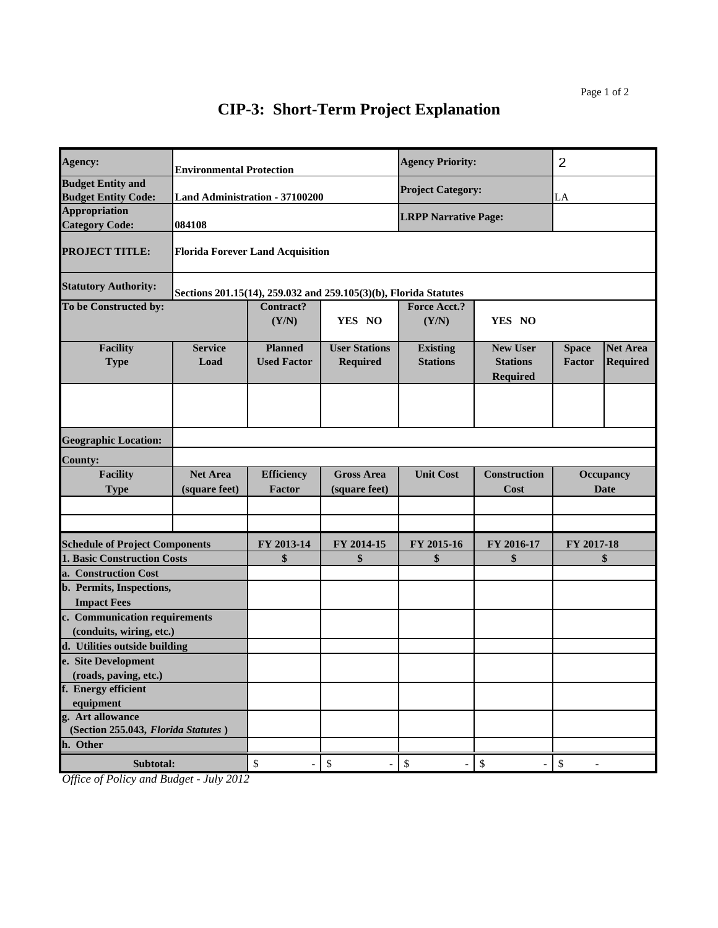| Agency:                                                   | <b>Environmental Protection</b>     |                                         |                                                                  | <b>Agency Priority:</b>            |                                                       | 2                      |                                    |
|-----------------------------------------------------------|-------------------------------------|-----------------------------------------|------------------------------------------------------------------|------------------------------------|-------------------------------------------------------|------------------------|------------------------------------|
| <b>Budget Entity and</b><br><b>Budget Entity Code:</b>    |                                     | <b>Land Administration - 37100200</b>   |                                                                  | <b>Project Category:</b>           |                                                       | LA                     |                                    |
| <b>Appropriation</b><br><b>Category Code:</b>             | 084108                              |                                         |                                                                  | <b>LRPP Narrative Page:</b>        |                                                       |                        |                                    |
| <b>PROJECT TITLE:</b>                                     |                                     | <b>Florida Forever Land Acquisition</b> |                                                                  |                                    |                                                       |                        |                                    |
| <b>Statutory Authority:</b>                               |                                     |                                         | Sections 201.15(14), 259.032 and 259.105(3)(b), Florida Statutes |                                    |                                                       |                        |                                    |
| To be Constructed by:                                     | <b>Contract?</b><br>(Y/N)<br>YES NO |                                         |                                                                  | Force Acct.?<br>(Y/N)              | YES NO                                                |                        |                                    |
| <b>Facility</b><br><b>Type</b>                            | <b>Service</b><br>Load              | <b>Planned</b><br><b>Used Factor</b>    | <b>User Stations</b><br>Required                                 | <b>Existing</b><br><b>Stations</b> | <b>New User</b><br><b>Stations</b><br><b>Required</b> | <b>Space</b><br>Factor | <b>Net Area</b><br><b>Required</b> |
|                                                           |                                     |                                         |                                                                  |                                    |                                                       |                        |                                    |
| <b>Geographic Location:</b>                               |                                     |                                         |                                                                  |                                    |                                                       |                        |                                    |
| <b>County:</b>                                            |                                     |                                         |                                                                  |                                    |                                                       |                        |                                    |
| <b>Facility</b><br><b>Type</b>                            | <b>Net Area</b><br>(square feet)    | <b>Efficiency</b><br><b>Factor</b>      | <b>Gross Area</b><br>(square feet)                               | <b>Unit Cost</b>                   | <b>Construction</b><br>Cost                           |                        | Occupancy<br><b>Date</b>           |
|                                                           |                                     |                                         |                                                                  |                                    |                                                       |                        |                                    |
| <b>Schedule of Project Components</b>                     |                                     | FY 2013-14                              | FY 2014-15                                                       | FY 2015-16                         | FY 2016-17                                            | FY 2017-18             |                                    |
| <b>1. Basic Construction Costs</b>                        |                                     | \$                                      | \$                                                               | \$                                 | \$                                                    |                        | \$                                 |
| a. Construction Cost                                      |                                     |                                         |                                                                  |                                    |                                                       |                        |                                    |
| b. Permits, Inspections,                                  |                                     |                                         |                                                                  |                                    |                                                       |                        |                                    |
| <b>Impact Fees</b>                                        |                                     |                                         |                                                                  |                                    |                                                       |                        |                                    |
| c. Communication requirements                             |                                     |                                         |                                                                  |                                    |                                                       |                        |                                    |
| (conduits, wiring, etc.)<br>d. Utilities outside building |                                     |                                         |                                                                  |                                    |                                                       |                        |                                    |
| e. Site Development                                       |                                     |                                         |                                                                  |                                    |                                                       |                        |                                    |
| (roads, paving, etc.)                                     |                                     |                                         |                                                                  |                                    |                                                       |                        |                                    |
| f. Energy efficient                                       |                                     |                                         |                                                                  |                                    |                                                       |                        |                                    |
| equipment                                                 |                                     |                                         |                                                                  |                                    |                                                       |                        |                                    |
| g. Art allowance<br>(Section 255.043, Florida Statutes)   |                                     |                                         |                                                                  |                                    |                                                       |                        |                                    |
| h. Other                                                  |                                     |                                         |                                                                  |                                    |                                                       |                        |                                    |
| Subtotal:                                                 |                                     | \$                                      | \$                                                               | $\mathbb{S}$                       | \$                                                    | \$                     |                                    |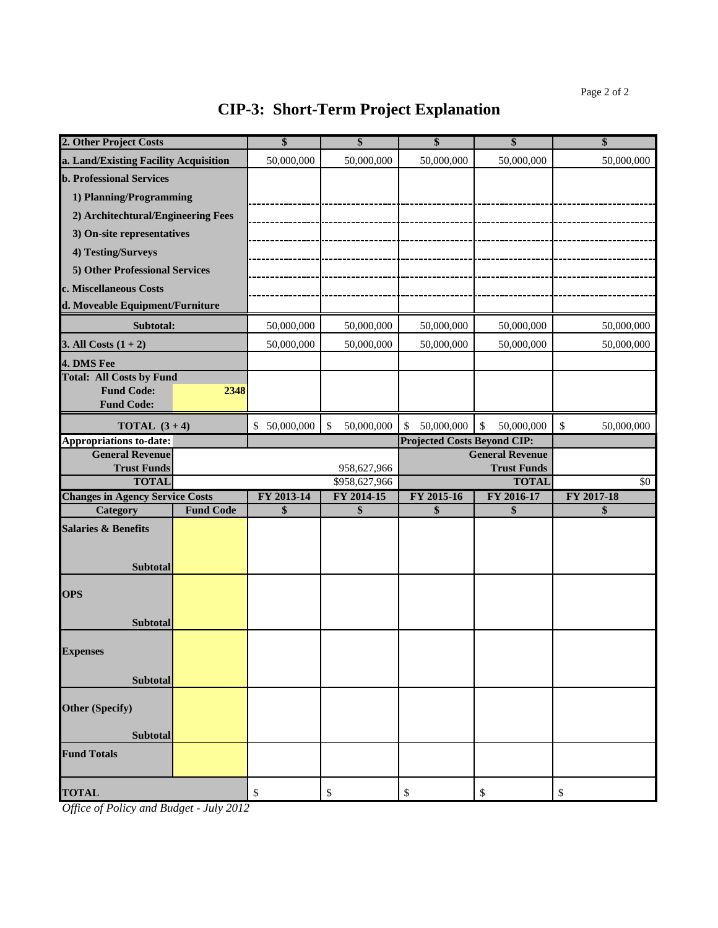| 2. Other Project Costs                       |                  | \$           | \$               | \$                                 | \$                                           | \$               |
|----------------------------------------------|------------------|--------------|------------------|------------------------------------|----------------------------------------------|------------------|
| a. Land/Existing Facility Acquisition        |                  | 50,000,000   | 50,000,000       | 50,000,000                         | 50,000,000                                   | 50,000,000       |
| <b>b. Professional Services</b>              |                  |              |                  |                                    |                                              |                  |
| 1) Planning/Programming                      |                  |              |                  |                                    |                                              |                  |
| 2) Architechtural/Engineering Fees           |                  |              |                  |                                    |                                              |                  |
| 3) On-site representatives                   |                  |              |                  |                                    |                                              |                  |
| 4) Testing/Surveys                           |                  |              |                  |                                    |                                              |                  |
| 5) Other Professional Services               |                  |              |                  |                                    |                                              |                  |
| c. Miscellaneous Costs                       |                  |              |                  |                                    |                                              |                  |
| d. Moveable Equipment/Furniture              |                  |              |                  |                                    |                                              |                  |
| Subtotal:                                    |                  | 50,000,000   | 50,000,000       | 50,000,000                         | 50,000,000                                   | 50,000,000       |
| 3. All Costs $(1 + 2)$                       |                  | 50,000,000   | 50,000,000       | 50,000,000                         | 50,000,000                                   | 50,000,000       |
| 4. DMS Fee                                   |                  |              |                  |                                    |                                              |                  |
| <b>Total: All Costs by Fund</b>              |                  |              |                  |                                    |                                              |                  |
| <b>Fund Code:</b>                            | 2348             |              |                  |                                    |                                              |                  |
| <b>Fund Code:</b>                            |                  |              |                  |                                    |                                              |                  |
| <b>TOTAL</b> $(3 + 4)$                       |                  | \$50,000,000 | 50,000,000<br>\$ | 50,000,000<br>\$                   | \$<br>50,000,000                             | \$<br>50,000,000 |
| <b>Appropriations to-date:</b>               |                  |              |                  | <b>Projected Costs Beyond CIP:</b> |                                              |                  |
| <b>General Revenue</b><br><b>Trust Funds</b> |                  |              | 958,627,966      |                                    | <b>General Revenue</b><br><b>Trust Funds</b> |                  |
| <b>TOTAL</b>                                 |                  |              | \$958,627,966    | <b>TOTAL</b>                       |                                              | \$0              |
| <b>Changes in Agency Service Costs</b>       |                  | FY 2013-14   | FY 2014-15       | FY 2015-16                         | FY 2016-17                                   | FY 2017-18       |
| Category                                     | <b>Fund Code</b> | \$           | \$               | \$                                 | \$                                           | \$               |
| <b>Salaries &amp; Benefits</b>               |                  |              |                  |                                    |                                              |                  |
|                                              |                  |              |                  |                                    |                                              |                  |
| Subtotal                                     |                  |              |                  |                                    |                                              |                  |
|                                              |                  |              |                  |                                    |                                              |                  |
| <b>OPS</b>                                   |                  |              |                  |                                    |                                              |                  |
| Subtotal                                     |                  |              |                  |                                    |                                              |                  |
|                                              |                  |              |                  |                                    |                                              |                  |
| <b>Expenses</b>                              |                  |              |                  |                                    |                                              |                  |
|                                              |                  |              |                  |                                    |                                              |                  |
| <b>Subtotal</b>                              |                  |              |                  |                                    |                                              |                  |
| <b>Other (Specify)</b>                       |                  |              |                  |                                    |                                              |                  |
|                                              |                  |              |                  |                                    |                                              |                  |
| Subtotal                                     |                  |              |                  |                                    |                                              |                  |
| <b>Fund Totals</b>                           |                  |              |                  |                                    |                                              |                  |
|                                              |                  |              |                  |                                    |                                              |                  |
| <b>TOTAL</b>                                 |                  | \$           | \$               | \$                                 | \$                                           | \$               |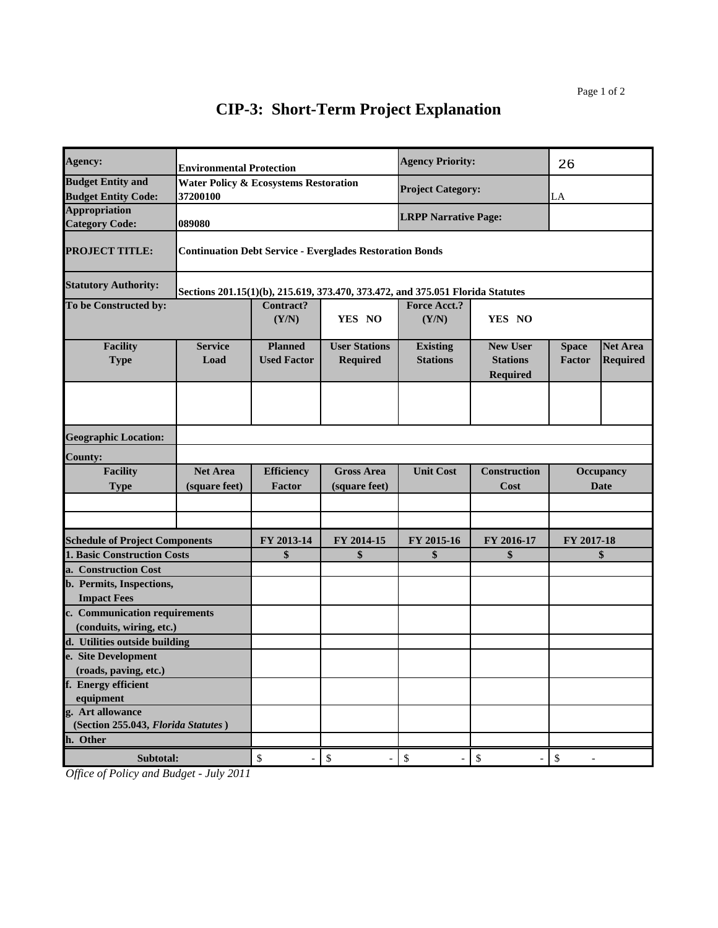| Agency:                                                                | <b>Environmental Protection</b>                              |                                      |                                                                                | <b>Agency Priority:</b>            |                                                       | 26                     |                                    |
|------------------------------------------------------------------------|--------------------------------------------------------------|--------------------------------------|--------------------------------------------------------------------------------|------------------------------------|-------------------------------------------------------|------------------------|------------------------------------|
| <b>Budget Entity and</b><br><b>Budget Entity Code:</b>                 | <b>Water Policy &amp; Ecosystems Restoration</b><br>37200100 |                                      |                                                                                | <b>Project Category:</b>           |                                                       | ${\rm LA}$             |                                    |
| <b>Appropriation</b><br><b>Category Code:</b>                          | 089080                                                       |                                      |                                                                                | <b>LRPP Narrative Page:</b>        |                                                       |                        |                                    |
| <b>PROJECT TITLE:</b>                                                  |                                                              |                                      | <b>Continuation Debt Service - Everglades Restoration Bonds</b>                |                                    |                                                       |                        |                                    |
| <b>Statutory Authority:</b>                                            |                                                              |                                      | Sections 201.15(1)(b), 215.619, 373.470, 373.472, and 375.051 Florida Statutes |                                    |                                                       |                        |                                    |
| To be Constructed by:                                                  |                                                              | Contract?<br>(Y/N)                   | YES NO                                                                         | <b>Force Acct.?</b><br>(Y/N)       | YES NO                                                |                        |                                    |
| <b>Facility</b><br><b>Type</b>                                         | <b>Service</b><br>Load                                       | <b>Planned</b><br><b>Used Factor</b> | <b>User Stations</b><br><b>Required</b>                                        | <b>Existing</b><br><b>Stations</b> | <b>New User</b><br><b>Stations</b><br><b>Required</b> | <b>Space</b><br>Factor | <b>Net Area</b><br><b>Required</b> |
|                                                                        |                                                              |                                      |                                                                                |                                    |                                                       |                        |                                    |
| <b>Geographic Location:</b>                                            |                                                              |                                      |                                                                                |                                    |                                                       |                        |                                    |
| <b>County:</b>                                                         |                                                              |                                      |                                                                                |                                    |                                                       |                        |                                    |
| <b>Facility</b><br><b>Type</b>                                         | <b>Net Area</b><br>(square feet)                             | <b>Efficiency</b><br>Factor          | <b>Gross Area</b><br>(square feet)                                             | <b>Unit Cost</b>                   | <b>Construction</b><br>Cost                           |                        | <b>Occupancy</b><br><b>Date</b>    |
|                                                                        |                                                              |                                      |                                                                                |                                    |                                                       |                        |                                    |
| <b>Schedule of Project Components</b>                                  |                                                              | FY 2013-14                           | FY 2014-15                                                                     | FY 2015-16                         | FY 2016-17                                            | FY 2017-18             |                                    |
| <b>1. Basic Construction Costs</b>                                     |                                                              | \$                                   | \$                                                                             | \$                                 | \$                                                    |                        | \$                                 |
| a. Construction Cost<br>b. Permits, Inspections,<br><b>Impact Fees</b> |                                                              |                                      |                                                                                |                                    |                                                       |                        |                                    |
| c. Communication requirements<br>(conduits, wiring, etc.)              |                                                              |                                      |                                                                                |                                    |                                                       |                        |                                    |
| d. Utilities outside building                                          |                                                              |                                      |                                                                                |                                    |                                                       |                        |                                    |
| e. Site Development                                                    |                                                              |                                      |                                                                                |                                    |                                                       |                        |                                    |
| (roads, paving, etc.)                                                  |                                                              |                                      |                                                                                |                                    |                                                       |                        |                                    |
| f. Energy efficient<br>equipment                                       |                                                              |                                      |                                                                                |                                    |                                                       |                        |                                    |
| g. Art allowance<br>(Section 255.043, Florida Statutes)                |                                                              |                                      |                                                                                |                                    |                                                       |                        |                                    |
| h. Other                                                               |                                                              |                                      |                                                                                |                                    |                                                       |                        |                                    |
| Subtotal:                                                              |                                                              | $\mathbb{S}$<br>$\overline{a}$       | $\mathbb{S}$<br>$\overline{\phantom{0}}$                                       | \$<br>$\qquad \qquad \blacksquare$ | $\boldsymbol{\$}$<br>$\overline{a}$                   | \$                     |                                    |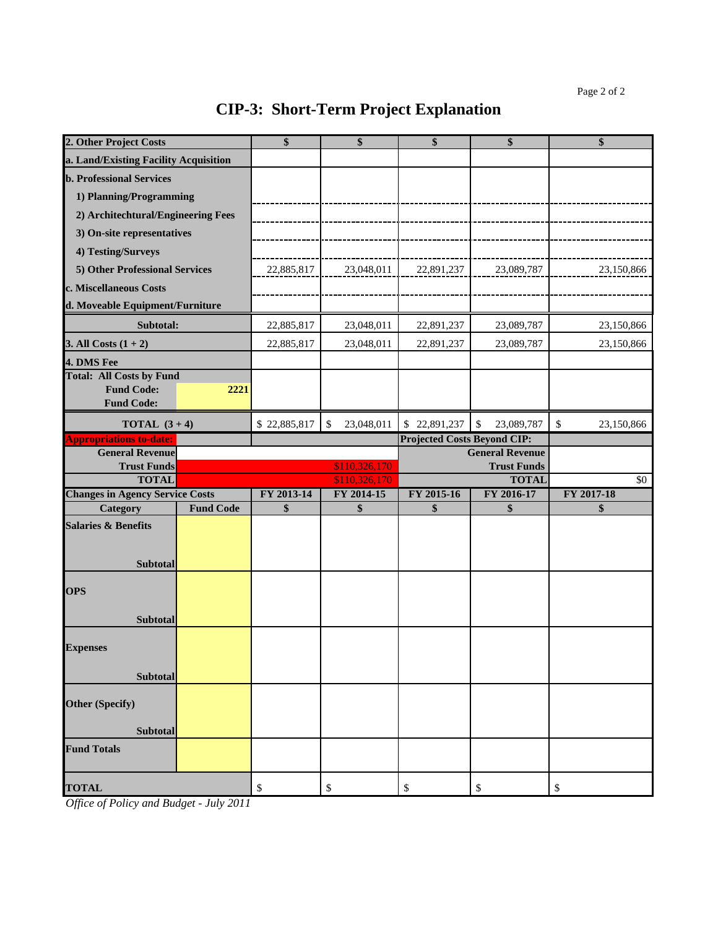| 2. Other Project Costs                       |                                | \$           | \$               | \$                                 | \$                                           | \$               |
|----------------------------------------------|--------------------------------|--------------|------------------|------------------------------------|----------------------------------------------|------------------|
| a. Land/Existing Facility Acquisition        |                                |              |                  |                                    |                                              |                  |
| <b>b. Professional Services</b>              |                                |              |                  |                                    |                                              |                  |
| 1) Planning/Programming                      |                                |              |                  |                                    |                                              |                  |
| 2) Architechtural/Engineering Fees           |                                |              |                  |                                    |                                              |                  |
| 3) On-site representatives                   |                                |              |                  |                                    |                                              |                  |
| 4) Testing/Surveys                           |                                |              |                  |                                    |                                              |                  |
|                                              | 5) Other Professional Services |              | 23,048,011       | 22,891,237                         | 23,089,787                                   | 23,150,866       |
| c. Miscellaneous Costs                       |                                | 22,885,817   |                  |                                    |                                              |                  |
| d. Moveable Equipment/Furniture              |                                |              |                  |                                    |                                              |                  |
| Subtotal:                                    |                                | 22,885,817   | 23,048,011       | 22,891,237                         | 23,089,787                                   | 23,150,866       |
| 3. All Costs $(1 + 2)$                       |                                | 22,885,817   | 23,048,011       | 22,891,237                         | 23,089,787                                   | 23,150,866       |
| 4. DMS Fee                                   |                                |              |                  |                                    |                                              |                  |
| <b>Total: All Costs by Fund</b>              |                                |              |                  |                                    |                                              |                  |
| <b>Fund Code:</b>                            | 2221                           |              |                  |                                    |                                              |                  |
| <b>Fund Code:</b>                            |                                |              |                  |                                    |                                              |                  |
| <b>TOTAL</b> $(3+4)$                         |                                | \$22,885,817 | 23,048,011<br>\$ | \$22,891,237                       | \$<br>23,089,787                             | \$<br>23,150,866 |
| <b>Appropriations to-date:</b>               |                                |              |                  | <b>Projected Costs Beyond CIP:</b> |                                              |                  |
| <b>General Revenue</b><br><b>Trust Funds</b> |                                |              | \$110,326,170    |                                    | <b>General Revenue</b><br><b>Trust Funds</b> |                  |
| <b>TOTAL</b>                                 |                                |              | \$110,326,170    |                                    | <b>TOTAL</b>                                 | \$0              |
| <b>Changes in Agency Service Costs</b>       |                                | FY 2013-14   | FY 2014-15       | FY 2015-16                         | FY 2016-17                                   | FY 2017-18       |
| Category                                     | <b>Fund Code</b>               | \$           | \$               | \$                                 | \$                                           | \$               |
| <b>Salaries &amp; Benefits</b>               |                                |              |                  |                                    |                                              |                  |
|                                              |                                |              |                  |                                    |                                              |                  |
| <b>Subtotal</b>                              |                                |              |                  |                                    |                                              |                  |
| <b>OPS</b>                                   |                                |              |                  |                                    |                                              |                  |
|                                              |                                |              |                  |                                    |                                              |                  |
| <b>Subtotal</b>                              |                                |              |                  |                                    |                                              |                  |
|                                              |                                |              |                  |                                    |                                              |                  |
| <b>Expenses</b>                              |                                |              |                  |                                    |                                              |                  |
| <b>Subtotal</b>                              |                                |              |                  |                                    |                                              |                  |
|                                              |                                |              |                  |                                    |                                              |                  |
| <b>Other (Specify)</b>                       |                                |              |                  |                                    |                                              |                  |
| Subtotal                                     |                                |              |                  |                                    |                                              |                  |
| <b>Fund Totals</b>                           |                                |              |                  |                                    |                                              |                  |
|                                              |                                |              |                  |                                    |                                              |                  |
| <b>TOTAL</b>                                 |                                | \$           | \$               | $\boldsymbol{\mathsf{S}}$          | \$                                           | \$               |
|                                              |                                |              |                  |                                    |                                              |                  |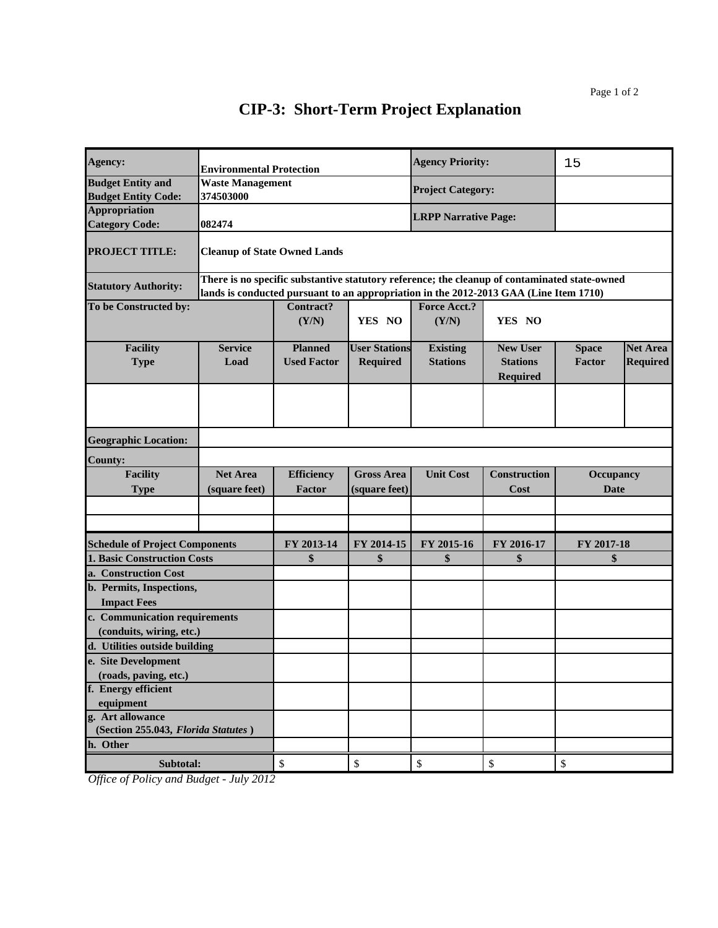| Agency:                                      | <b>Environmental Protection</b>                                                       |                                                                                               |                      | <b>Agency Priority:</b>     |                                    | 15               |                 |
|----------------------------------------------|---------------------------------------------------------------------------------------|-----------------------------------------------------------------------------------------------|----------------------|-----------------------------|------------------------------------|------------------|-----------------|
| <b>Budget Entity and</b>                     | <b>Waste Management</b>                                                               |                                                                                               |                      |                             |                                    |                  |                 |
| <b>Budget Entity Code:</b>                   | 374503000                                                                             |                                                                                               |                      | <b>Project Category:</b>    |                                    |                  |                 |
| <b>Appropriation</b>                         |                                                                                       |                                                                                               |                      |                             |                                    |                  |                 |
| <b>Category Code:</b>                        | 082474                                                                                |                                                                                               |                      | <b>LRPP Narrative Page:</b> |                                    |                  |                 |
| <b>PROJECT TITLE:</b>                        | <b>Cleanup of State Owned Lands</b>                                                   |                                                                                               |                      |                             |                                    |                  |                 |
| <b>Statutory Authority:</b>                  | lands is conducted pursuant to an appropriation in the 2012-2013 GAA (Line Item 1710) | There is no specific substantive statutory reference; the cleanup of contaminated state-owned |                      |                             |                                    |                  |                 |
| To be Constructed by:                        |                                                                                       | Contract?<br>(Y/N)                                                                            | YES NO               | Force Acct.?<br>(Y/N)       | YES NO                             |                  |                 |
| <b>Facility</b>                              | <b>Service</b>                                                                        | <b>Planned</b>                                                                                | <b>User Stations</b> | <b>Existing</b>             | <b>New User</b>                    | <b>Space</b>     | <b>Net Area</b> |
| <b>Type</b>                                  | Load                                                                                  | <b>Used Factor</b>                                                                            | <b>Required</b>      | <b>Stations</b>             | <b>Stations</b><br><b>Required</b> | Factor           | <b>Required</b> |
|                                              |                                                                                       |                                                                                               |                      |                             |                                    |                  |                 |
| <b>Geographic Location:</b>                  |                                                                                       |                                                                                               |                      |                             |                                    |                  |                 |
| <b>County:</b>                               |                                                                                       |                                                                                               |                      |                             |                                    |                  |                 |
| <b>Facility</b>                              | <b>Net Area</b>                                                                       | <b>Efficiency</b>                                                                             | <b>Gross Area</b>    | <b>Unit Cost</b>            | <b>Construction</b>                | <b>Occupancy</b> |                 |
| <b>Type</b>                                  | (square feet)                                                                         | <b>Factor</b>                                                                                 | (square feet)        |                             | Cost                               | <b>Date</b>      |                 |
|                                              |                                                                                       |                                                                                               |                      |                             |                                    |                  |                 |
|                                              |                                                                                       |                                                                                               |                      |                             |                                    |                  |                 |
|                                              |                                                                                       |                                                                                               |                      |                             |                                    |                  |                 |
| <b>Schedule of Project Components</b>        |                                                                                       | FY 2013-14                                                                                    | FY 2014-15           | FY 2015-16                  | FY 2016-17                         | FY 2017-18       |                 |
| <b>1. Basic Construction Costs</b>           |                                                                                       | \$                                                                                            | \$                   | \$                          | \$                                 | \$               |                 |
| a. Construction Cost                         |                                                                                       |                                                                                               |                      |                             |                                    |                  |                 |
| b. Permits, Inspections,                     |                                                                                       |                                                                                               |                      |                             |                                    |                  |                 |
| <b>Impact Fees</b>                           |                                                                                       |                                                                                               |                      |                             |                                    |                  |                 |
| c. Communication requirements                |                                                                                       |                                                                                               |                      |                             |                                    |                  |                 |
| (conduits, wiring, etc.)                     |                                                                                       |                                                                                               |                      |                             |                                    |                  |                 |
| d. Utilities outside building                |                                                                                       |                                                                                               |                      |                             |                                    |                  |                 |
| e. Site Development                          |                                                                                       |                                                                                               |                      |                             |                                    |                  |                 |
| (roads, paving, etc.)<br>f. Energy efficient |                                                                                       |                                                                                               |                      |                             |                                    |                  |                 |
| equipment                                    |                                                                                       |                                                                                               |                      |                             |                                    |                  |                 |
| g. Art allowance                             |                                                                                       |                                                                                               |                      |                             |                                    |                  |                 |
| (Section 255.043, Florida Statutes)          |                                                                                       |                                                                                               |                      |                             |                                    |                  |                 |
| h. Other                                     |                                                                                       |                                                                                               |                      |                             |                                    |                  |                 |
| Subtotal:                                    |                                                                                       | \$                                                                                            | \$                   | \$                          | \$                                 | \$               |                 |
|                                              |                                                                                       |                                                                                               |                      |                             |                                    |                  |                 |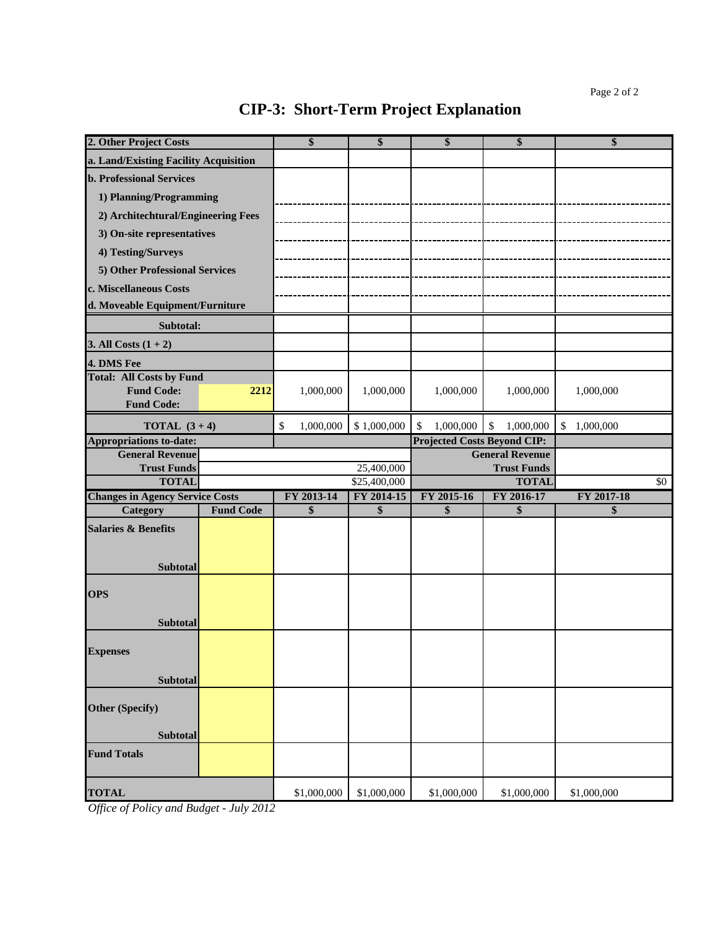| 2. Other Project Costs                             |                  | \$               | \$               | \$                                 | \$                                     | \$               |
|----------------------------------------------------|------------------|------------------|------------------|------------------------------------|----------------------------------------|------------------|
| a. Land/Existing Facility Acquisition              |                  |                  |                  |                                    |                                        |                  |
| <b>b. Professional Services</b>                    |                  |                  |                  |                                    |                                        |                  |
| 1) Planning/Programming                            |                  |                  |                  |                                    |                                        |                  |
| 2) Architechtural/Engineering Fees                 |                  |                  |                  |                                    |                                        |                  |
| 3) On-site representatives                         |                  |                  |                  |                                    |                                        |                  |
| 4) Testing/Surveys                                 |                  |                  |                  |                                    |                                        |                  |
| 5) Other Professional Services                     |                  |                  |                  |                                    |                                        |                  |
| c. Miscellaneous Costs                             |                  |                  |                  |                                    |                                        |                  |
| d. Moveable Equipment/Furniture                    |                  |                  |                  |                                    |                                        |                  |
| Subtotal:                                          |                  |                  |                  |                                    |                                        |                  |
|                                                    |                  |                  |                  |                                    |                                        |                  |
| 3. All Costs $(1 + 2)$                             |                  |                  |                  |                                    |                                        |                  |
| 4. DMS Fee<br><b>Total: All Costs by Fund</b>      |                  |                  |                  |                                    |                                        |                  |
| <b>Fund Code:</b><br><b>Fund Code:</b>             | 2212             | 1,000,000        | 1,000,000        | 1,000,000                          | 1,000,000                              | 1,000,000        |
| <b>TOTAL</b> $(3+4)$                               |                  | \$<br>1,000,000  | \$1,000,000      | 1,000,000<br>\$                    | 1,000,000<br>$\boldsymbol{\mathsf{S}}$ | \$1,000,000      |
| <b>Appropriations to-date:</b>                     |                  |                  |                  | <b>Projected Costs Beyond CIP:</b> |                                        |                  |
| <b>General Revenue</b>                             |                  |                  |                  |                                    | <b>General Revenue</b>                 |                  |
| <b>Trust Funds</b>                                 |                  |                  | 25,400,000       |                                    | <b>Trust Funds</b>                     |                  |
| <b>TOTAL</b>                                       |                  |                  | \$25,400,000     |                                    | <b>TOTAL</b>                           | \$0              |
| <b>Changes in Agency Service Costs</b><br>Category | <b>Fund Code</b> | FY 2013-14<br>\$ | FY 2014-15<br>\$ | FY 2015-16<br>\$                   | FY 2016-17<br>\$                       | FY 2017-18<br>\$ |
|                                                    |                  |                  |                  |                                    |                                        |                  |
| <b>Salaries &amp; Benefits</b>                     |                  |                  |                  |                                    |                                        |                  |
| <b>Subtotal</b>                                    |                  |                  |                  |                                    |                                        |                  |
|                                                    |                  |                  |                  |                                    |                                        |                  |
| <b>OPS</b>                                         |                  |                  |                  |                                    |                                        |                  |
| <b>Subtotal</b>                                    |                  |                  |                  |                                    |                                        |                  |
|                                                    |                  |                  |                  |                                    |                                        |                  |
| <b>Expenses</b>                                    |                  |                  |                  |                                    |                                        |                  |
|                                                    |                  |                  |                  |                                    |                                        |                  |
| Subtotal                                           |                  |                  |                  |                                    |                                        |                  |
| <b>Other (Specify)</b>                             |                  |                  |                  |                                    |                                        |                  |
|                                                    |                  |                  |                  |                                    |                                        |                  |
| <b>Subtotal</b>                                    |                  |                  |                  |                                    |                                        |                  |
| <b>Fund Totals</b>                                 |                  |                  |                  |                                    |                                        |                  |
| <b>TOTAL</b>                                       |                  | \$1,000,000      | \$1,000,000      | \$1,000,000                        | \$1,000,000                            | \$1,000,000      |
|                                                    |                  |                  |                  |                                    |                                        |                  |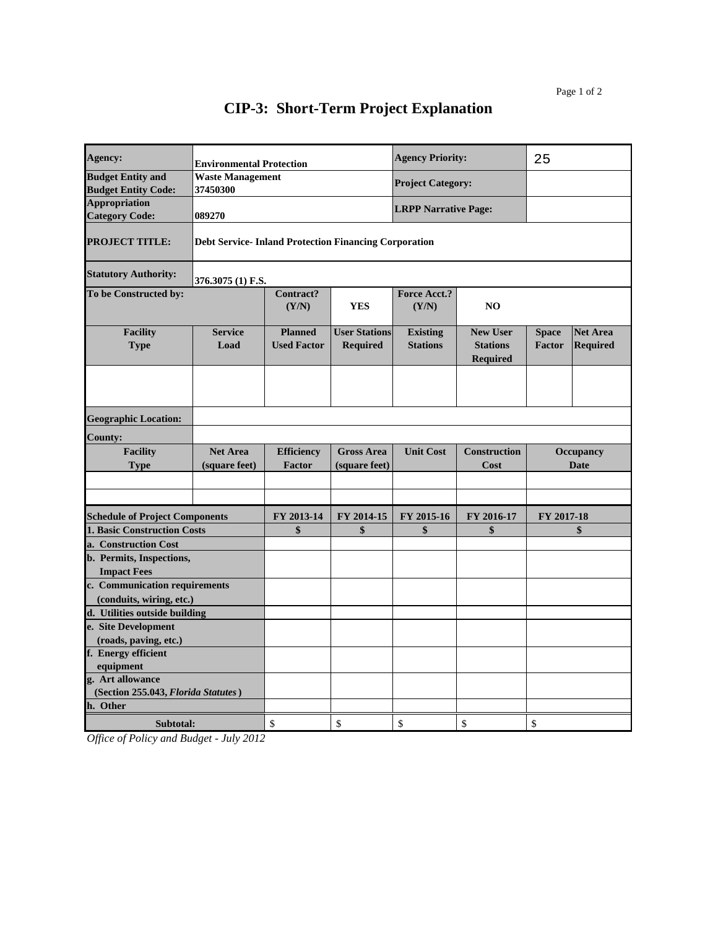| Agency:                                                |                                                              | <b>Environmental Protection</b>                                                                                             |                                         |                                    | <b>Agency Priority:</b>                               | 25                              |                                    |
|--------------------------------------------------------|--------------------------------------------------------------|-----------------------------------------------------------------------------------------------------------------------------|-----------------------------------------|------------------------------------|-------------------------------------------------------|---------------------------------|------------------------------------|
| <b>Budget Entity and</b><br><b>Budget Entity Code:</b> | <b>Waste Management</b><br>37450300                          |                                                                                                                             |                                         | <b>Project Category:</b>           |                                                       |                                 |                                    |
| Appropriation<br><b>Category Code:</b>                 | 089270                                                       |                                                                                                                             |                                         | <b>LRPP Narrative Page:</b>        |                                                       |                                 |                                    |
| <b>PROJECT TITLE:</b>                                  | <b>Debt Service- Inland Protection Financing Corporation</b> |                                                                                                                             |                                         |                                    |                                                       |                                 |                                    |
| <b>Statutory Authority:</b>                            | 376.3075 (1) F.S.                                            |                                                                                                                             |                                         |                                    |                                                       |                                 |                                    |
| To be Constructed by:                                  |                                                              | Contract?<br>(Y/N)                                                                                                          | <b>YES</b>                              | <b>Force Acct.?</b><br>(Y/N)       | NO                                                    |                                 |                                    |
| <b>Facility</b><br><b>Type</b>                         | <b>Service</b><br>Load                                       | <b>Planned</b><br><b>Used Factor</b>                                                                                        | <b>User Stations</b><br><b>Required</b> | <b>Existing</b><br><b>Stations</b> | <b>New User</b><br><b>Stations</b><br><b>Required</b> | <b>Space</b><br><b>Factor</b>   | <b>Net Area</b><br><b>Required</b> |
|                                                        |                                                              |                                                                                                                             |                                         |                                    |                                                       |                                 |                                    |
| <b>Geographic Location:</b>                            |                                                              |                                                                                                                             |                                         |                                    |                                                       |                                 |                                    |
| <b>County:</b>                                         |                                                              |                                                                                                                             |                                         |                                    |                                                       |                                 |                                    |
| <b>Facility</b><br><b>Type</b>                         | <b>Net Area</b><br>(square feet)                             | <b>Efficiency</b><br><b>Unit Cost</b><br><b>Construction</b><br><b>Gross Area</b><br><b>Factor</b><br>(square feet)<br>Cost |                                         |                                    |                                                       | <b>Occupancy</b><br><b>Date</b> |                                    |
|                                                        |                                                              |                                                                                                                             |                                         |                                    |                                                       |                                 |                                    |
| <b>Schedule of Project Components</b>                  |                                                              | FY 2013-14                                                                                                                  | FY 2014-15                              | FY 2015-16                         | FY 2016-17                                            | FY 2017-18                      |                                    |
| 1. Basic Construction Costs                            |                                                              | \$                                                                                                                          | \$                                      | \$                                 | \$                                                    |                                 | \$                                 |
| a. Construction Cost                                   |                                                              |                                                                                                                             |                                         |                                    |                                                       |                                 |                                    |
| b. Permits, Inspections,                               |                                                              |                                                                                                                             |                                         |                                    |                                                       |                                 |                                    |
| <b>Impact Fees</b>                                     |                                                              |                                                                                                                             |                                         |                                    |                                                       |                                 |                                    |
| c. Communication requirements                          |                                                              |                                                                                                                             |                                         |                                    |                                                       |                                 |                                    |
| (conduits, wiring, etc.)                               |                                                              |                                                                                                                             |                                         |                                    |                                                       |                                 |                                    |
| d. Utilities outside building                          |                                                              |                                                                                                                             |                                         |                                    |                                                       |                                 |                                    |
| e. Site Development                                    |                                                              |                                                                                                                             |                                         |                                    |                                                       |                                 |                                    |
| (roads, paving, etc.)<br>f. Energy efficient           |                                                              |                                                                                                                             |                                         |                                    |                                                       |                                 |                                    |
| equipment                                              |                                                              |                                                                                                                             |                                         |                                    |                                                       |                                 |                                    |
| g. Art allowance                                       |                                                              |                                                                                                                             |                                         |                                    |                                                       |                                 |                                    |
| (Section 255.043, Florida Statutes)                    |                                                              |                                                                                                                             |                                         |                                    |                                                       |                                 |                                    |
| h. Other                                               |                                                              |                                                                                                                             |                                         |                                    |                                                       |                                 |                                    |
| Subtotal:                                              |                                                              | \$                                                                                                                          | \$                                      | \$                                 | \$                                                    | \$                              |                                    |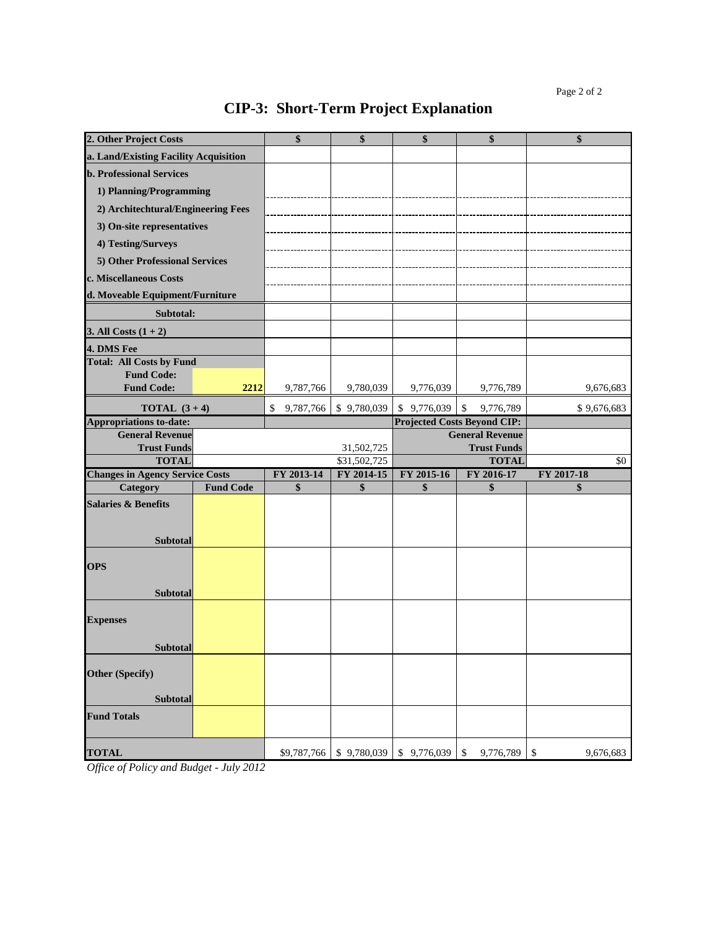# **2. Other Project Costs \$ \$ \$ \$ CIP-3: Short-Term Project Explanation**

| 2. Other Project Costs                             |                  | \$              | \$                         | \$          | \$                                           | \$               |
|----------------------------------------------------|------------------|-----------------|----------------------------|-------------|----------------------------------------------|------------------|
| a. Land/Existing Facility Acquisition              |                  |                 |                            |             |                                              |                  |
| <b>b. Professional Services</b>                    |                  |                 |                            |             |                                              |                  |
| 1) Planning/Programming                            |                  |                 |                            |             |                                              |                  |
| 2) Architechtural/Engineering Fees                 |                  |                 |                            |             |                                              |                  |
| 3) On-site representatives                         |                  |                 |                            |             |                                              |                  |
| 4) Testing/Surveys                                 |                  |                 |                            |             |                                              |                  |
| 5) Other Professional Services                     |                  |                 |                            |             |                                              |                  |
| c. Miscellaneous Costs                             |                  |                 |                            |             |                                              |                  |
| d. Moveable Equipment/Furniture                    |                  |                 |                            |             |                                              |                  |
| Subtotal:                                          |                  |                 |                            |             |                                              |                  |
| 3. All Costs $(1 + 2)$                             |                  |                 |                            |             |                                              |                  |
| 4. DMS Fee                                         |                  |                 |                            |             |                                              |                  |
| <b>Total: All Costs by Fund</b>                    |                  |                 |                            |             |                                              |                  |
| <b>Fund Code:</b>                                  |                  |                 |                            |             |                                              |                  |
| <b>Fund Code:</b>                                  | 2212             | 9,787,766       | 9,780,039                  | 9,776,039   | 9,776,789                                    | 9,676,683        |
| <b>TOTAL</b> $(3+4)$                               |                  | 9,787,766<br>\$ | \$9,780,039                | \$9,776,039 | $\$\,$<br>9,776,789                          | \$9,676,683      |
| <b>Appropriations to-date:</b>                     |                  |                 |                            |             | <b>Projected Costs Beyond CIP:</b>           |                  |
| <b>General Revenue</b><br><b>Trust Funds</b>       |                  |                 |                            |             | <b>General Revenue</b><br><b>Trust Funds</b> |                  |
| <b>TOTAL</b>                                       |                  |                 | 31,502,725<br>\$31,502,725 |             | <b>TOTAL</b>                                 | \$0              |
|                                                    |                  |                 |                            |             |                                              |                  |
|                                                    |                  | FY 2013-14      | FY 2014-15                 | FY 2015-16  |                                              |                  |
| <b>Changes in Agency Service Costs</b><br>Category | <b>Fund Code</b> | \$              | \$                         | \$          | FY 2016-17<br>\$                             | FY 2017-18<br>\$ |
| <b>Salaries &amp; Benefits</b>                     |                  |                 |                            |             |                                              |                  |
|                                                    |                  |                 |                            |             |                                              |                  |
|                                                    |                  |                 |                            |             |                                              |                  |
| <b>Subtotal</b>                                    |                  |                 |                            |             |                                              |                  |
| <b>OPS</b>                                         |                  |                 |                            |             |                                              |                  |
|                                                    |                  |                 |                            |             |                                              |                  |
| <b>Subtotal</b>                                    |                  |                 |                            |             |                                              |                  |
| <b>Expenses</b>                                    |                  |                 |                            |             |                                              |                  |
|                                                    |                  |                 |                            |             |                                              |                  |
| <b>Subtotal</b>                                    |                  |                 |                            |             |                                              |                  |
| Other (Specify)                                    |                  |                 |                            |             |                                              |                  |
|                                                    |                  |                 |                            |             |                                              |                  |
| Subtotal                                           |                  |                 |                            |             |                                              |                  |
| <b>Fund Totals</b>                                 |                  |                 |                            |             |                                              |                  |
| <b>TOTAL</b>                                       |                  | \$9,787,766     | \$9,780,039                | 9,776,039   | \$<br>9,776,789                              | \$<br>9,676,683  |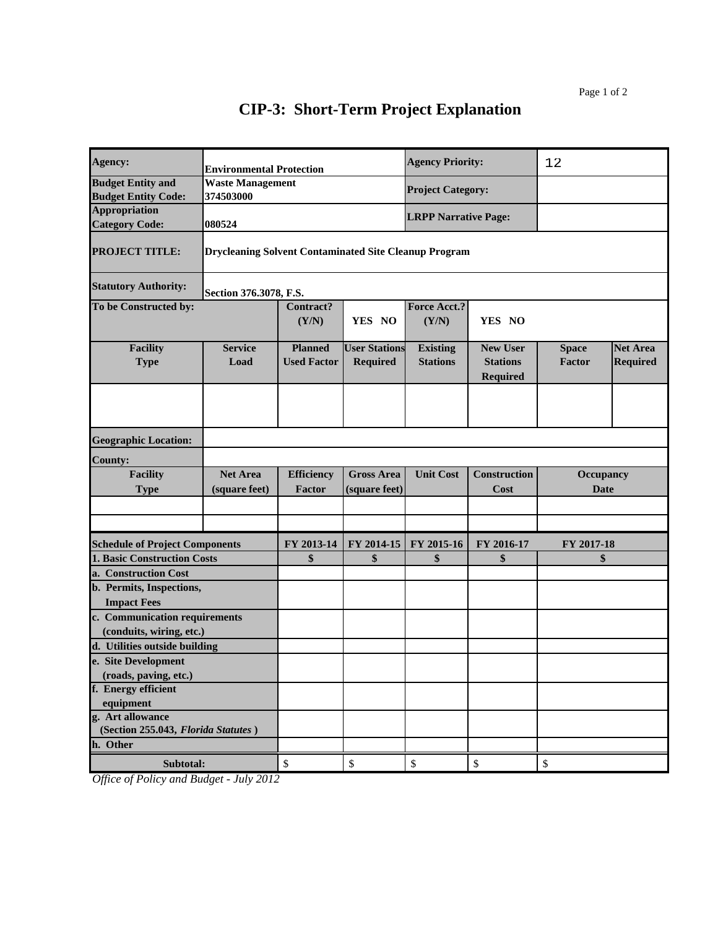| Agency:                               |                                                              | <b>Environmental Protection</b>      |                                         |                                    | <b>Agency Priority:</b>                        | 12                     |                                    |
|---------------------------------------|--------------------------------------------------------------|--------------------------------------|-----------------------------------------|------------------------------------|------------------------------------------------|------------------------|------------------------------------|
| <b>Budget Entity and</b>              | <b>Waste Management</b>                                      |                                      |                                         | <b>Project Category:</b>           |                                                |                        |                                    |
| <b>Budget Entity Code:</b>            | 374503000                                                    |                                      |                                         |                                    |                                                |                        |                                    |
| <b>Appropriation</b>                  |                                                              |                                      |                                         | <b>LRPP Narrative Page:</b>        |                                                |                        |                                    |
| <b>Category Code:</b>                 | 080524                                                       |                                      |                                         |                                    |                                                |                        |                                    |
| <b>PROJECT TITLE:</b>                 | <b>Drycleaning Solvent Contaminated Site Cleanup Program</b> |                                      |                                         |                                    |                                                |                        |                                    |
| <b>Statutory Authority:</b>           | Section 376.3078, F.S.                                       |                                      |                                         |                                    |                                                |                        |                                    |
| To be Constructed by:                 |                                                              | Contract?<br>(Y/N)                   | YES NO                                  | <b>Force Acct.?</b><br>(Y/N)       | YES NO                                         |                        |                                    |
| <b>Facility</b><br><b>Type</b>        | <b>Service</b><br>Load                                       | <b>Planned</b><br><b>Used Factor</b> | <b>User Stations</b><br><b>Required</b> | <b>Existing</b><br><b>Stations</b> | <b>New User</b><br><b>Stations</b><br>Required | <b>Space</b><br>Factor | <b>Net Area</b><br><b>Required</b> |
|                                       |                                                              |                                      |                                         |                                    |                                                |                        |                                    |
| <b>Geographic Location:</b>           |                                                              |                                      |                                         |                                    |                                                |                        |                                    |
| <b>County:</b>                        |                                                              |                                      |                                         |                                    |                                                |                        |                                    |
| <b>Facility</b>                       | <b>Net Area</b>                                              | <b>Efficiency</b>                    | <b>Gross Area</b>                       | <b>Unit Cost</b>                   | Construction                                   | Occupancy              |                                    |
| <b>Type</b>                           | (square feet)                                                | Factor                               | (square feet)                           |                                    | Cost                                           | <b>Date</b>            |                                    |
|                                       |                                                              |                                      |                                         |                                    |                                                |                        |                                    |
|                                       |                                                              |                                      |                                         |                                    |                                                |                        |                                    |
| <b>Schedule of Project Components</b> |                                                              | FY 2013-14                           | FY 2014-15                              | FY 2015-16                         | FY 2016-17                                     | FY 2017-18             |                                    |
| <b>1. Basic Construction Costs</b>    |                                                              | \$                                   | \$                                      | \$                                 | \$                                             | \$                     |                                    |
| a. Construction Cost                  |                                                              |                                      |                                         |                                    |                                                |                        |                                    |
| b. Permits, Inspections,              |                                                              |                                      |                                         |                                    |                                                |                        |                                    |
| <b>Impact Fees</b>                    |                                                              |                                      |                                         |                                    |                                                |                        |                                    |
| c. Communication requirements         |                                                              |                                      |                                         |                                    |                                                |                        |                                    |
| (conduits, wiring, etc.)              |                                                              |                                      |                                         |                                    |                                                |                        |                                    |
| d. Utilities outside building         |                                                              |                                      |                                         |                                    |                                                |                        |                                    |
| e. Site Development                   |                                                              |                                      |                                         |                                    |                                                |                        |                                    |
| (roads, paving, etc.)                 |                                                              |                                      |                                         |                                    |                                                |                        |                                    |
| f. Energy efficient                   |                                                              |                                      |                                         |                                    |                                                |                        |                                    |
| equipment                             |                                                              |                                      |                                         |                                    |                                                |                        |                                    |
| g. Art allowance                      |                                                              |                                      |                                         |                                    |                                                |                        |                                    |
| (Section 255.043, Florida Statutes)   |                                                              |                                      |                                         |                                    |                                                |                        |                                    |
| h. Other                              |                                                              |                                      |                                         |                                    |                                                |                        |                                    |
| Subtotal:                             |                                                              | \$                                   | $\mathbb{S}$                            | $\mathbb{S}$                       | $\mathbb{S}$                                   | $\mathbb{S}$           |                                    |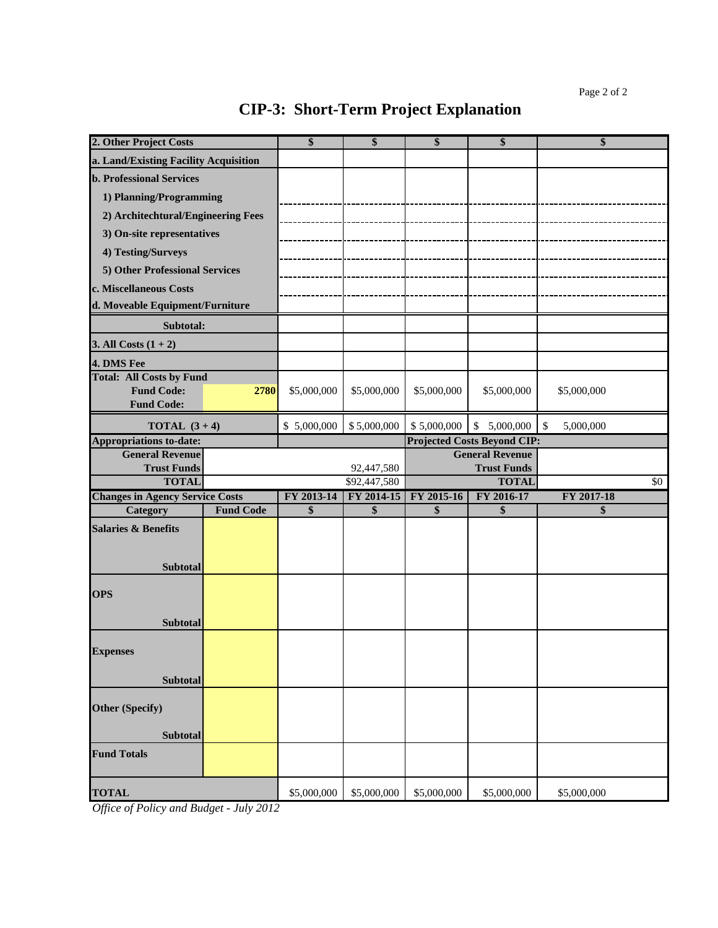| 2. Other Project Costs                                                    |                  | \$          | \$                         | \$          | \$                                 | \$                        |     |
|---------------------------------------------------------------------------|------------------|-------------|----------------------------|-------------|------------------------------------|---------------------------|-----|
| a. Land/Existing Facility Acquisition                                     |                  |             |                            |             |                                    |                           |     |
| <b>b. Professional Services</b>                                           |                  |             |                            |             |                                    |                           |     |
| 1) Planning/Programming                                                   |                  |             |                            |             |                                    |                           |     |
| 2) Architechtural/Engineering Fees                                        |                  |             |                            |             |                                    |                           |     |
| 3) On-site representatives                                                |                  |             |                            |             |                                    |                           |     |
| 4) Testing/Surveys                                                        |                  |             |                            |             |                                    |                           |     |
| 5) Other Professional Services                                            |                  |             |                            |             |                                    |                           |     |
|                                                                           |                  |             |                            |             |                                    |                           |     |
| c. Miscellaneous Costs                                                    |                  |             |                            |             |                                    |                           |     |
| d. Moveable Equipment/Furniture                                           |                  |             |                            |             |                                    |                           |     |
| Subtotal:                                                                 |                  |             |                            |             |                                    |                           |     |
| 3. All Costs $(1 + 2)$                                                    |                  |             |                            |             |                                    |                           |     |
| 4. DMS Fee                                                                |                  |             |                            |             |                                    |                           |     |
| <b>Total: All Costs by Fund</b><br><b>Fund Code:</b><br><b>Fund Code:</b> | 2780             | \$5,000,000 | \$5,000,000                | \$5,000,000 | \$5,000,000                        | \$5,000,000               |     |
| <b>TOTAL</b> $(3+4)$                                                      |                  | \$5,000,000 | \$5,000,000                | \$5,000,000 | \$5,000,000                        | 5,000,000<br>$\mathbb{S}$ |     |
| <b>Appropriations to-date:</b>                                            |                  |             |                            |             | <b>Projected Costs Beyond CIP:</b> |                           |     |
| <b>General Revenue</b>                                                    |                  |             |                            |             | <b>General Revenue</b>             |                           |     |
| <b>Trust Funds</b><br><b>TOTAL</b>                                        |                  |             | 92,447,580<br>\$92,447,580 |             | <b>Trust Funds</b><br><b>TOTAL</b> |                           | \$0 |
| <b>Changes in Agency Service Costs</b>                                    |                  | FY 2013-14  | FY 2014-15                 | FY 2015-16  | FY 2016-17                         | FY 2017-18                |     |
| Category                                                                  | <b>Fund Code</b> | \$          | \$                         | \$          | \$                                 | \$                        |     |
| <b>Salaries &amp; Benefits</b><br>Subtotal                                |                  |             |                            |             |                                    |                           |     |
| <b>OPS</b><br>Subtotal                                                    |                  |             |                            |             |                                    |                           |     |
| <b>Expenses</b><br><b>Subtotal</b>                                        |                  |             |                            |             |                                    |                           |     |
| <b>Other (Specify)</b><br>Subtotal                                        |                  |             |                            |             |                                    |                           |     |
| <b>Fund Totals</b>                                                        |                  |             |                            |             |                                    |                           |     |
| <b>TOTAL</b>                                                              |                  | \$5,000,000 | \$5,000,000                | \$5,000,000 | \$5,000,000                        | \$5,000,000               |     |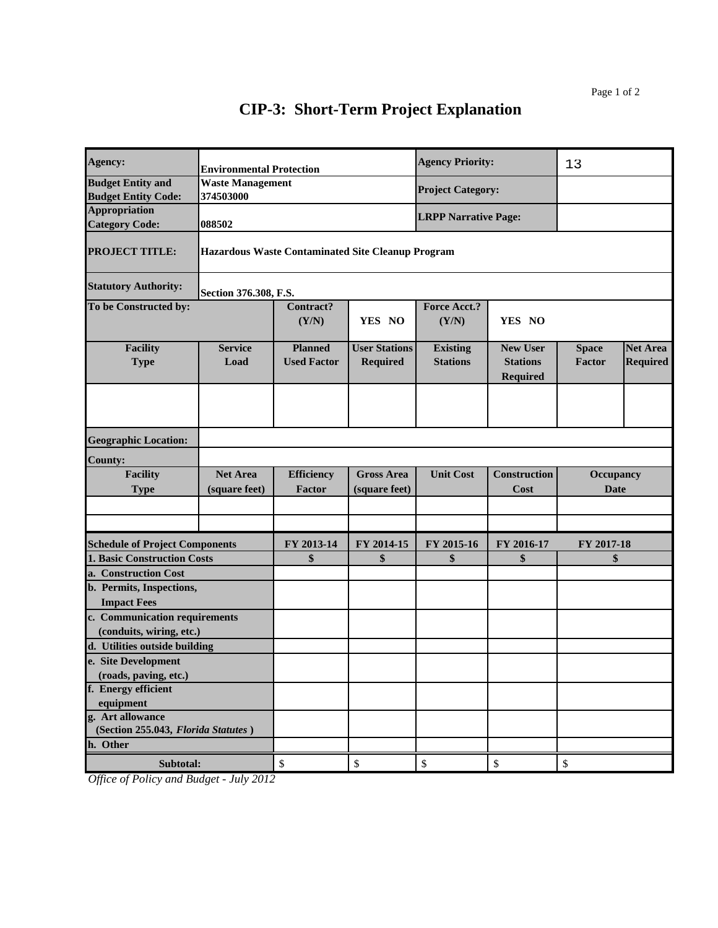| Agency:                                                 | <b>Environmental Protection</b>                          |                                                                        |                      | <b>Agency Priority:</b>     |                                    | 13            |                 |
|---------------------------------------------------------|----------------------------------------------------------|------------------------------------------------------------------------|----------------------|-----------------------------|------------------------------------|---------------|-----------------|
| <b>Budget Entity and</b>                                | <b>Waste Management</b>                                  |                                                                        |                      |                             |                                    |               |                 |
| <b>Budget Entity Code:</b>                              | 374503000                                                |                                                                        |                      | <b>Project Category:</b>    |                                    |               |                 |
| <b>Appropriation</b>                                    |                                                          |                                                                        |                      | <b>LRPP Narrative Page:</b> |                                    |               |                 |
| <b>Category Code:</b>                                   | 088502                                                   |                                                                        |                      |                             |                                    |               |                 |
| <b>PROJECT TITLE:</b>                                   | <b>Hazardous Waste Contaminated Site Cleanup Program</b> |                                                                        |                      |                             |                                    |               |                 |
| <b>Statutory Authority:</b>                             | Section 376.308, F.S.                                    |                                                                        |                      |                             |                                    |               |                 |
| To be Constructed by:                                   |                                                          | <b>Contract?</b><br>Force Acct.?<br>(Y/N)<br>YES NO<br>(Y/N)<br>YES NO |                      |                             |                                    |               |                 |
| <b>Facility</b>                                         | <b>Service</b>                                           | <b>Planned</b>                                                         | <b>User Stations</b> | <b>Existing</b>             | <b>New User</b>                    | <b>Space</b>  | <b>Net Area</b> |
| <b>Type</b>                                             | Load                                                     | <b>Used Factor</b>                                                     | <b>Required</b>      | <b>Stations</b>             | <b>Stations</b><br><b>Required</b> | <b>Factor</b> | <b>Required</b> |
|                                                         |                                                          |                                                                        |                      |                             |                                    |               |                 |
| <b>Geographic Location:</b>                             |                                                          |                                                                        |                      |                             |                                    |               |                 |
| <b>County:</b>                                          |                                                          |                                                                        |                      |                             |                                    |               |                 |
| <b>Facility</b>                                         | <b>Net Area</b>                                          | <b>Efficiency</b>                                                      | <b>Gross Area</b>    | <b>Unit Cost</b>            | <b>Construction</b>                | Occupancy     |                 |
| <b>Type</b>                                             | (square feet)                                            | <b>Factor</b>                                                          | (square feet)        |                             | Cost                               | <b>Date</b>   |                 |
|                                                         |                                                          |                                                                        |                      |                             |                                    |               |                 |
|                                                         |                                                          |                                                                        |                      |                             |                                    |               |                 |
|                                                         |                                                          |                                                                        |                      |                             |                                    |               |                 |
| <b>Schedule of Project Components</b>                   |                                                          | FY 2013-14                                                             | FY 2014-15           | FY 2015-16                  | FY 2016-17                         | FY 2017-18    |                 |
| <b>1. Basic Construction Costs</b>                      |                                                          | \$                                                                     | \$                   | \$                          | \$                                 | \$            |                 |
| a. Construction Cost                                    |                                                          |                                                                        |                      |                             |                                    |               |                 |
| b. Permits, Inspections,                                |                                                          |                                                                        |                      |                             |                                    |               |                 |
| <b>Impact Fees</b>                                      |                                                          |                                                                        |                      |                             |                                    |               |                 |
| c. Communication requirements                           |                                                          |                                                                        |                      |                             |                                    |               |                 |
| (conduits, wiring, etc.)                                |                                                          |                                                                        |                      |                             |                                    |               |                 |
| d. Utilities outside building                           |                                                          |                                                                        |                      |                             |                                    |               |                 |
| e. Site Development                                     |                                                          |                                                                        |                      |                             |                                    |               |                 |
| (roads, paving, etc.)                                   |                                                          |                                                                        |                      |                             |                                    |               |                 |
| f. Energy efficient                                     |                                                          |                                                                        |                      |                             |                                    |               |                 |
| equipment                                               |                                                          |                                                                        |                      |                             |                                    |               |                 |
| g. Art allowance<br>(Section 255.043, Florida Statutes) |                                                          |                                                                        |                      |                             |                                    |               |                 |
| h. Other                                                |                                                          |                                                                        |                      |                             |                                    |               |                 |
|                                                         |                                                          |                                                                        |                      |                             |                                    |               |                 |
| Subtotal:                                               |                                                          | \$                                                                     | \$                   | \$                          | $\boldsymbol{\$}$                  | $\mathbb{S}$  |                 |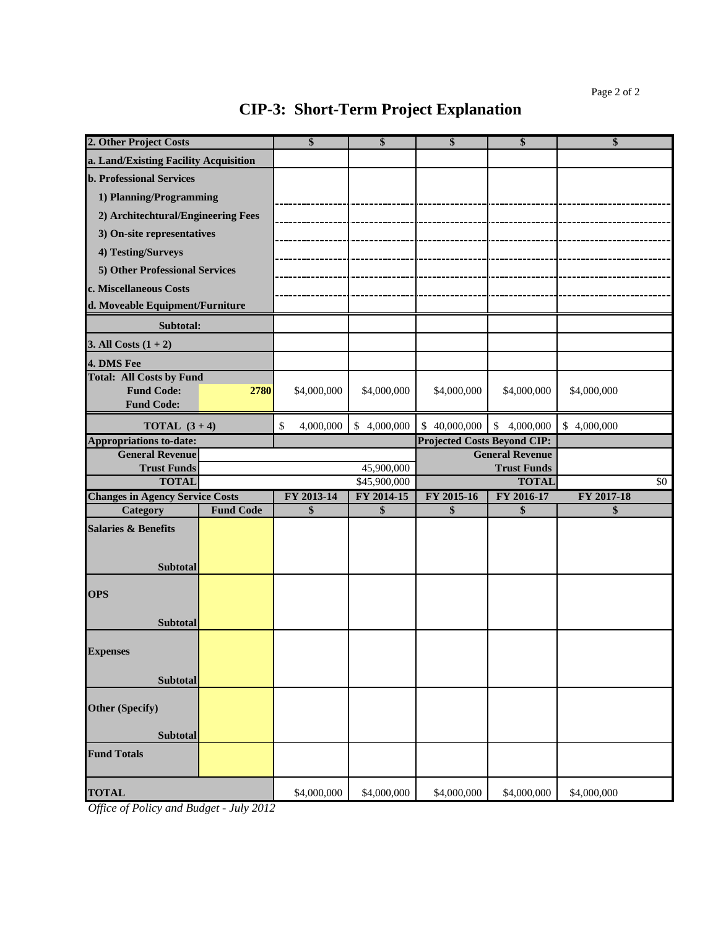| 2. Other Project Costs                 |                  | \$              | \$           | \$                                 | \$                     | \$              |
|----------------------------------------|------------------|-----------------|--------------|------------------------------------|------------------------|-----------------|
| a. Land/Existing Facility Acquisition  |                  |                 |              |                                    |                        |                 |
| <b>b. Professional Services</b>        |                  |                 |              |                                    |                        |                 |
| 1) Planning/Programming                |                  |                 |              |                                    |                        |                 |
| 2) Architechtural/Engineering Fees     |                  |                 |              |                                    |                        |                 |
| 3) On-site representatives             |                  |                 |              |                                    |                        |                 |
| 4) Testing/Surveys                     |                  |                 |              |                                    |                        |                 |
| 5) Other Professional Services         |                  |                 |              |                                    |                        |                 |
| c. Miscellaneous Costs                 |                  |                 |              |                                    |                        |                 |
| d. Moveable Equipment/Furniture        |                  |                 |              |                                    |                        |                 |
| Subtotal:                              |                  |                 |              |                                    |                        |                 |
| 3. All Costs $(1 + 2)$                 |                  |                 |              |                                    |                        |                 |
| 4. DMS Fee                             |                  |                 |              |                                    |                        |                 |
| <b>Total: All Costs by Fund</b>        |                  |                 |              |                                    |                        |                 |
| <b>Fund Code:</b>                      | 2780             | \$4,000,000     | \$4,000,000  | \$4,000,000                        | \$4,000,000            | \$4,000,000     |
| <b>Fund Code:</b>                      |                  |                 |              |                                    |                        |                 |
| <b>TOTAL</b> $(3+4)$                   |                  | \$<br>4,000,000 | \$4,000,000  | \$40,000,000                       | \$4,000,000            | \$4,000,000     |
| <b>Appropriations to-date:</b>         |                  |                 |              | <b>Projected Costs Beyond CIP:</b> |                        |                 |
| <b>General Revenue</b>                 |                  |                 |              |                                    | <b>General Revenue</b> |                 |
| <b>Trust Funds</b>                     |                  |                 | 45,900,000   |                                    | <b>Trust Funds</b>     |                 |
| <b>TOTAL</b>                           |                  |                 | \$45,900,000 |                                    | <b>TOTAL</b>           | $\overline{50}$ |
| <b>Changes in Agency Service Costs</b> |                  | FY 2013-14      | FY 2014-15   | FY 2015-16                         | FY 2016-17             | FY 2017-18      |
| <b>Category</b>                        | <b>Fund Code</b> | \$              | \$           | \$                                 | \$                     | \$              |
| <b>Salaries &amp; Benefits</b>         |                  |                 |              |                                    |                        |                 |
|                                        |                  |                 |              |                                    |                        |                 |
| <b>Subtotal</b>                        |                  |                 |              |                                    |                        |                 |
|                                        |                  |                 |              |                                    |                        |                 |
| <b>OPS</b>                             |                  |                 |              |                                    |                        |                 |
| <b>Subtotal</b>                        |                  |                 |              |                                    |                        |                 |
|                                        |                  |                 |              |                                    |                        |                 |
| <b>Expenses</b>                        |                  |                 |              |                                    |                        |                 |
|                                        |                  |                 |              |                                    |                        |                 |
| <b>Subtotal</b>                        |                  |                 |              |                                    |                        |                 |
| <b>Other (Specify)</b>                 |                  |                 |              |                                    |                        |                 |
|                                        |                  |                 |              |                                    |                        |                 |
| <b>Subtotal</b>                        |                  |                 |              |                                    |                        |                 |
| <b>Fund Totals</b>                     |                  |                 |              |                                    |                        |                 |
|                                        |                  |                 |              |                                    |                        |                 |
| <b>TOTAL</b>                           |                  | \$4,000,000     | \$4,000,000  | \$4,000,000                        | \$4,000,000            | \$4,000,000     |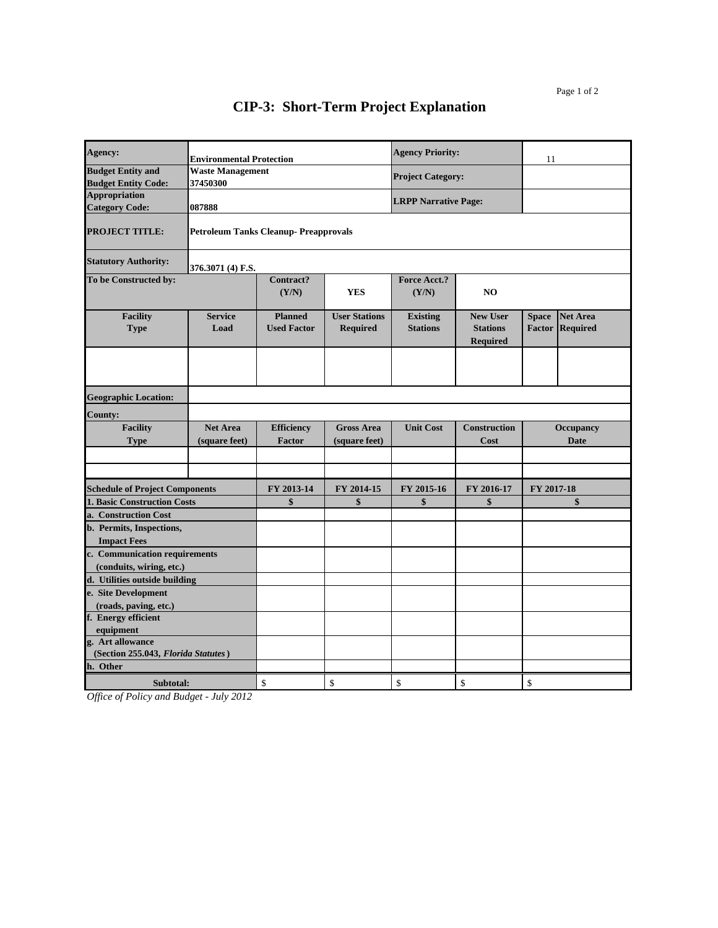| Agency:                                                   |                                  | <b>Environmental Protection</b>              |                                         |                                    | <b>Agency Priority:</b>                               | 11                                                                  |  |
|-----------------------------------------------------------|----------------------------------|----------------------------------------------|-----------------------------------------|------------------------------------|-------------------------------------------------------|---------------------------------------------------------------------|--|
| <b>Budget Entity and</b><br><b>Budget Entity Code:</b>    | Waste Management<br>37450300     |                                              |                                         | <b>Project Category:</b>           |                                                       |                                                                     |  |
| <b>Appropriation</b><br><b>Category Code:</b>             | 087888                           |                                              |                                         | <b>LRPP Narrative Page:</b>        |                                                       |                                                                     |  |
| <b>PROJECT TITLE:</b>                                     |                                  | <b>Petroleum Tanks Cleanup- Preapprovals</b> |                                         |                                    |                                                       |                                                                     |  |
| <b>Statutory Authority:</b>                               | 376.3071 (4) F.S.                |                                              |                                         |                                    |                                                       |                                                                     |  |
| To be Constructed by:                                     |                                  | Contract?<br>(Y/N)                           | <b>YES</b>                              | Force Acct.?<br>(Y/N)              | N <sub>O</sub>                                        |                                                                     |  |
| <b>Facility</b><br><b>Type</b>                            | <b>Service</b><br>Load           | <b>Planned</b><br><b>Used Factor</b>         | <b>User Stations</b><br><b>Required</b> | <b>Existing</b><br><b>Stations</b> | <b>New User</b><br><b>Stations</b><br><b>Required</b> | <b>Net Area</b><br><b>Space</b><br><b>Factor</b><br><b>Required</b> |  |
|                                                           |                                  |                                              |                                         |                                    |                                                       |                                                                     |  |
| <b>Geographic Location:</b>                               |                                  |                                              |                                         |                                    |                                                       |                                                                     |  |
| <b>County:</b>                                            |                                  |                                              |                                         |                                    |                                                       |                                                                     |  |
| <b>Facility</b><br><b>Type</b>                            | <b>Net Area</b><br>(square feet) | <b>Efficiency</b><br><b>Factor</b>           | <b>Gross Area</b><br>(square feet)      | <b>Unit Cost</b>                   | <b>Construction</b><br>Cost                           | <b>Occupancy</b><br><b>Date</b>                                     |  |
|                                                           |                                  |                                              |                                         |                                    |                                                       |                                                                     |  |
|                                                           |                                  |                                              |                                         |                                    |                                                       |                                                                     |  |
| <b>Schedule of Project Components</b>                     |                                  | FY 2013-14                                   | FY 2014-15                              | FY 2015-16                         | FY 2016-17                                            | FY 2017-18                                                          |  |
| <b>1. Basic Construction Costs</b>                        |                                  | \$                                           | \$                                      | \$                                 | \$                                                    | \$                                                                  |  |
| a. Construction Cost                                      |                                  |                                              |                                         |                                    |                                                       |                                                                     |  |
| b. Permits, Inspections,                                  |                                  |                                              |                                         |                                    |                                                       |                                                                     |  |
| <b>Impact Fees</b>                                        |                                  |                                              |                                         |                                    |                                                       |                                                                     |  |
| c. Communication requirements                             |                                  |                                              |                                         |                                    |                                                       |                                                                     |  |
| (conduits, wiring, etc.)<br>d. Utilities outside building |                                  |                                              |                                         |                                    |                                                       |                                                                     |  |
| e. Site Development                                       |                                  |                                              |                                         |                                    |                                                       |                                                                     |  |
| (roads, paving, etc.)                                     |                                  |                                              |                                         |                                    |                                                       |                                                                     |  |
| f. Energy efficient                                       |                                  |                                              |                                         |                                    |                                                       |                                                                     |  |
| equipment                                                 |                                  |                                              |                                         |                                    |                                                       |                                                                     |  |
| g. Art allowance                                          |                                  |                                              |                                         |                                    |                                                       |                                                                     |  |
| (Section 255.043, Florida Statutes)<br>h. Other           |                                  |                                              |                                         |                                    |                                                       |                                                                     |  |
|                                                           |                                  |                                              |                                         |                                    |                                                       |                                                                     |  |
| Subtotal:                                                 |                                  | \$                                           | \$                                      | \$                                 | \$                                                    | \$                                                                  |  |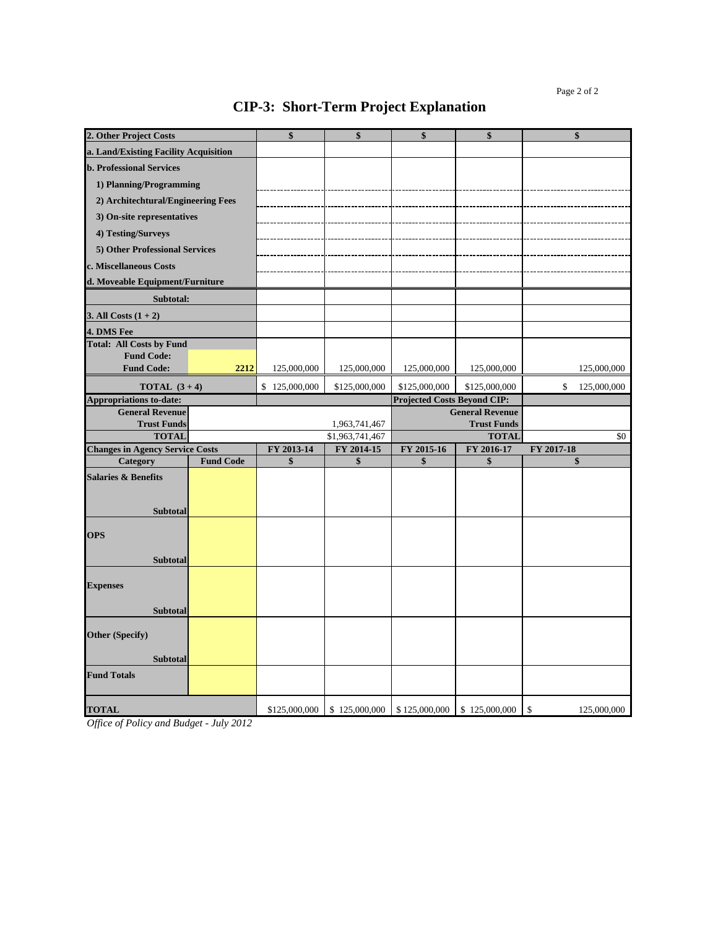| 2. Other Project Costs                        |                  | \$            | \$              | \$                                 | \$                                           | \$                |
|-----------------------------------------------|------------------|---------------|-----------------|------------------------------------|----------------------------------------------|-------------------|
| a. Land/Existing Facility Acquisition         |                  |               |                 |                                    |                                              |                   |
| <b>b. Professional Services</b>               |                  |               |                 |                                    |                                              |                   |
| 1) Planning/Programming                       |                  |               |                 |                                    |                                              |                   |
| 2) Architechtural/Engineering Fees            |                  |               |                 |                                    |                                              |                   |
| 3) On-site representatives                    |                  |               |                 |                                    |                                              |                   |
| 4) Testing/Surveys                            |                  |               |                 |                                    |                                              |                   |
| 5) Other Professional Services                |                  |               |                 |                                    |                                              |                   |
| c. Miscellaneous Costs                        |                  |               |                 |                                    |                                              |                   |
| d. Moveable Equipment/Furniture               |                  |               |                 |                                    |                                              |                   |
|                                               |                  |               |                 |                                    |                                              |                   |
| Subtotal:                                     |                  |               |                 |                                    |                                              |                   |
| 3. All Costs $(1 + 2)$                        |                  |               |                 |                                    |                                              |                   |
| 4. DMS Fee<br><b>Total: All Costs by Fund</b> |                  |               |                 |                                    |                                              |                   |
| <b>Fund Code:</b>                             |                  |               |                 |                                    |                                              |                   |
| <b>Fund Code:</b>                             | 2212             | 125,000,000   | 125,000,000     | 125,000,000                        | 125,000,000                                  | 125,000,000       |
| <b>TOTAL</b> $(3+4)$                          |                  | \$125,000,000 | \$125,000,000   | \$125,000,000                      | \$125,000,000                                | \$<br>125,000,000 |
| <b>Appropriations to-date:</b>                |                  |               |                 | <b>Projected Costs Beyond CIP:</b> |                                              |                   |
| <b>General Revenue</b><br><b>Trust Funds</b>  |                  |               | 1,963,741,467   |                                    | <b>General Revenue</b><br><b>Trust Funds</b> |                   |
| <b>TOTAL</b>                                  |                  |               | \$1,963,741,467 |                                    | <b>TOTAL</b>                                 | \$0               |
| <b>Changes in Agency Service Costs</b>        |                  | FY 2013-14    | FY 2014-15      | FY 2015-16                         | FY 2016-17                                   | FY 2017-18        |
| Category                                      | <b>Fund Code</b> | \$            | \$              | \$                                 | \$                                           | \$                |
| <b>Salaries &amp; Benefits</b>                |                  |               |                 |                                    |                                              |                   |
|                                               |                  |               |                 |                                    |                                              |                   |
| <b>Subtotal</b>                               |                  |               |                 |                                    |                                              |                   |
| <b>OPS</b>                                    |                  |               |                 |                                    |                                              |                   |
|                                               |                  |               |                 |                                    |                                              |                   |
| <b>Subtotal</b>                               |                  |               |                 |                                    |                                              |                   |
|                                               |                  |               |                 |                                    |                                              |                   |
| <b>Expenses</b>                               |                  |               |                 |                                    |                                              |                   |
| <b>Subtotal</b>                               |                  |               |                 |                                    |                                              |                   |
|                                               |                  |               |                 |                                    |                                              |                   |
| <b>Other (Specify)</b>                        |                  |               |                 |                                    |                                              |                   |
| <b>Subtotal</b>                               |                  |               |                 |                                    |                                              |                   |
| <b>Fund Totals</b>                            |                  |               |                 |                                    |                                              |                   |
|                                               |                  |               |                 |                                    |                                              |                   |
| <b>TOTAL</b>                                  |                  | \$125,000,000 | \$125,000,000   | \$125,000,000                      | \$125,000,000                                | \$<br>125,000,000 |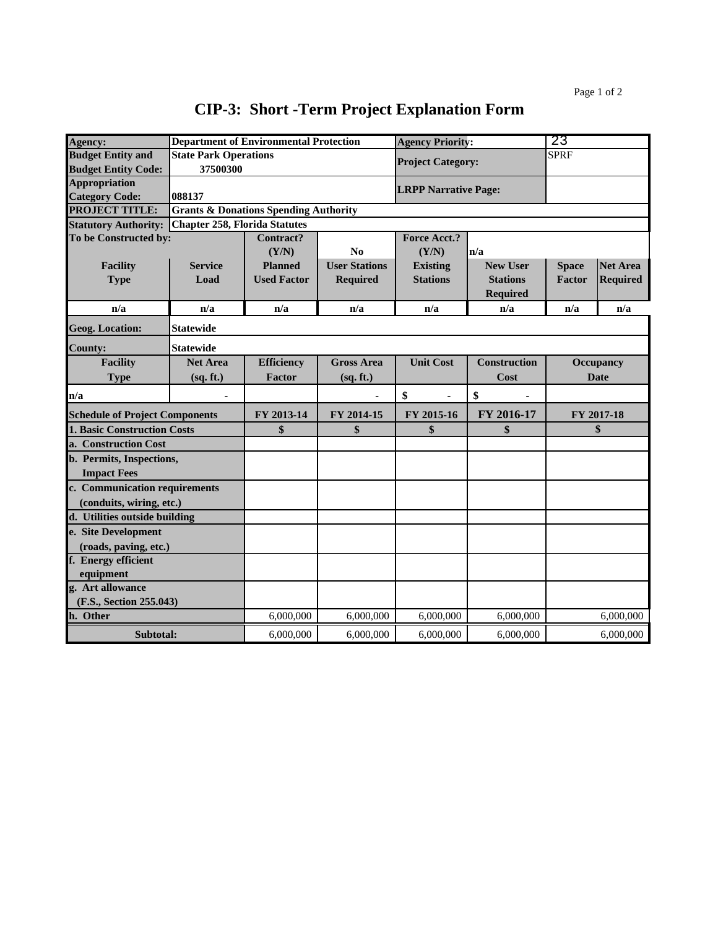| Agency:                               | <b>Department of Environmental Protection</b>    |                    | <b>Agency Priority:</b> |                             | 23                  |                  |                 |
|---------------------------------------|--------------------------------------------------|--------------------|-------------------------|-----------------------------|---------------------|------------------|-----------------|
| <b>Budget Entity and</b>              | <b>State Park Operations</b>                     |                    |                         |                             |                     | <b>SPRF</b>      |                 |
| <b>Budget Entity Code:</b>            | 37500300                                         |                    |                         | <b>Project Category:</b>    |                     |                  |                 |
| <b>Appropriation</b>                  |                                                  |                    |                         | <b>LRPP Narrative Page:</b> |                     |                  |                 |
| <b>Category Code:</b>                 | 088137                                           |                    |                         |                             |                     |                  |                 |
| <b>PROJECT TITLE:</b>                 | <b>Grants &amp; Donations Spending Authority</b> |                    |                         |                             |                     |                  |                 |
| <b>Statutory Authority:</b>           | <b>Chapter 258, Florida Statutes</b>             |                    |                         |                             |                     |                  |                 |
| To be Constructed by:                 |                                                  | <b>Contract?</b>   |                         | <b>Force Acct.?</b>         |                     |                  |                 |
|                                       |                                                  | (Y/N)              | No                      | (Y/N)                       | n/a                 |                  |                 |
| <b>Facility</b>                       | <b>Service</b>                                   | <b>Planned</b>     | <b>User Stations</b>    | <b>Existing</b>             | <b>New User</b>     | <b>Space</b>     | <b>Net Area</b> |
| <b>Type</b>                           | Load                                             | <b>Used Factor</b> | <b>Required</b>         | <b>Stations</b>             | <b>Stations</b>     | Factor           | <b>Required</b> |
|                                       |                                                  |                    |                         |                             | <b>Required</b>     |                  |                 |
| n/a                                   | n/a                                              | n/a                | n/a                     | n/a                         | n/a                 | n/a              | n/a             |
| <b>Geog. Location:</b>                | <b>Statewide</b>                                 |                    |                         |                             |                     |                  |                 |
| <b>County:</b>                        | <b>Statewide</b>                                 |                    |                         |                             |                     |                  |                 |
| <b>Facility</b>                       | <b>Net Area</b>                                  | <b>Efficiency</b>  | <b>Gross Area</b>       | <b>Unit Cost</b>            | <b>Construction</b> | <b>Occupancy</b> |                 |
| <b>Type</b>                           | (sq. ft.)                                        | Factor             | (sq. ft.)               |                             | Cost                |                  | <b>Date</b>     |
| n/a                                   |                                                  |                    |                         | \$                          | \$                  |                  |                 |
| <b>Schedule of Project Components</b> |                                                  | FY 2013-14         | FY 2014-15              | FY 2015-16                  | FY 2016-17          |                  | FY 2017-18      |
| <b>1. Basic Construction Costs</b>    |                                                  | \$                 | \$                      | \$                          | \$                  |                  | \$              |
| a. Construction Cost                  |                                                  |                    |                         |                             |                     |                  |                 |
| b. Permits, Inspections,              |                                                  |                    |                         |                             |                     |                  |                 |
| <b>Impact Fees</b>                    |                                                  |                    |                         |                             |                     |                  |                 |
| c. Communication requirements         |                                                  |                    |                         |                             |                     |                  |                 |
| (conduits, wiring, etc.)              |                                                  |                    |                         |                             |                     |                  |                 |
| d. Utilities outside building         |                                                  |                    |                         |                             |                     |                  |                 |
| e. Site Development                   |                                                  |                    |                         |                             |                     |                  |                 |
| (roads, paving, etc.)                 |                                                  |                    |                         |                             |                     |                  |                 |
| f. Energy efficient                   |                                                  |                    |                         |                             |                     |                  |                 |
| equipment                             |                                                  |                    |                         |                             |                     |                  |                 |
| g. Art allowance                      |                                                  |                    |                         |                             |                     |                  |                 |
| (F.S., Section 255.043)               |                                                  |                    |                         |                             |                     |                  |                 |
| h. Other                              |                                                  | 6,000,000          | 6,000,000               | 6,000,000                   | 6,000,000           |                  | 6,000,000       |
| Subtotal:                             |                                                  | 6,000,000          | 6,000,000               | 6,000,000                   | 6,000,000           |                  | 6,000,000       |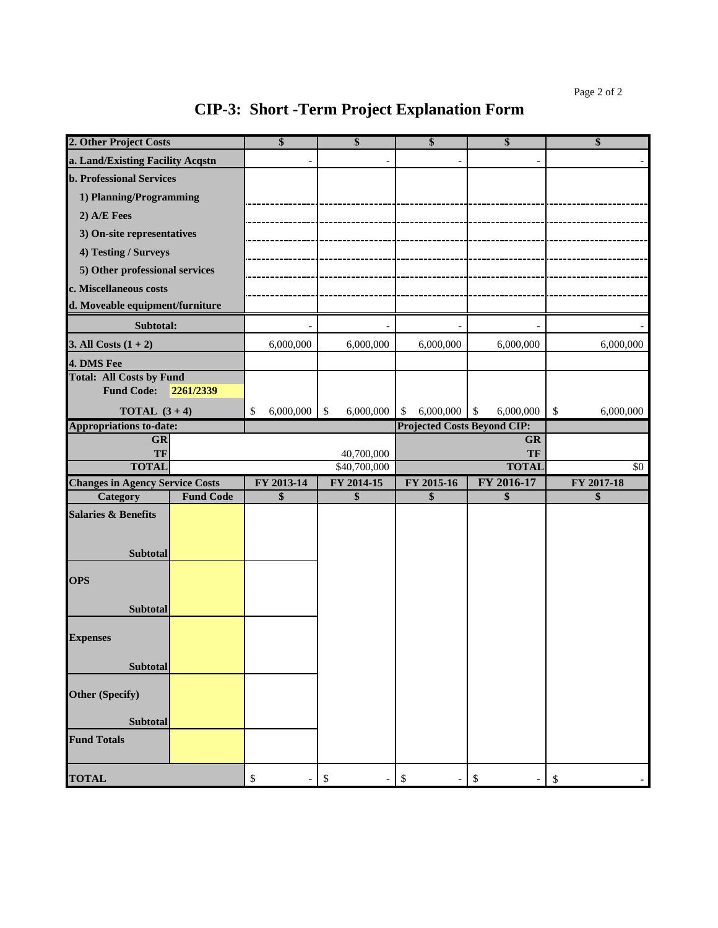| 2. Other Project Costs                 |                  | \$                                            | \$                                       | \$                                 | \$                                   | \$                         |
|----------------------------------------|------------------|-----------------------------------------------|------------------------------------------|------------------------------------|--------------------------------------|----------------------------|
| a. Land/Existing Facility Acqstn       |                  |                                               |                                          |                                    |                                      |                            |
| <b>b. Professional Services</b>        |                  |                                               |                                          |                                    |                                      |                            |
| 1) Planning/Programming                |                  |                                               |                                          |                                    |                                      |                            |
| 2) A/E Fees                            |                  |                                               |                                          |                                    |                                      |                            |
| 3) On-site representatives             |                  |                                               |                                          |                                    |                                      |                            |
| 4) Testing / Surveys                   |                  |                                               |                                          |                                    |                                      |                            |
| 5) Other professional services         |                  |                                               |                                          |                                    |                                      |                            |
| c. Miscellaneous costs                 |                  |                                               |                                          |                                    |                                      |                            |
| d. Moveable equipment/furniture        |                  |                                               |                                          |                                    |                                      |                            |
| Subtotal:                              |                  |                                               |                                          |                                    |                                      |                            |
| 3. All Costs $(1 + 2)$                 |                  | 6,000,000                                     | 6,000,000                                | 6,000,000                          | 6,000,000                            | 6,000,000                  |
| 4. DMS Fee                             |                  |                                               |                                          |                                    |                                      |                            |
| <b>Total: All Costs by Fund</b>        |                  |                                               |                                          |                                    |                                      |                            |
| <b>Fund Code:</b>                      | 2261/2339        |                                               |                                          |                                    |                                      |                            |
| <b>TOTAL</b> $(3+4)$                   |                  | 6,000,000<br>\$                               | 6,000,000<br>$\mathcal{S}$               | 6,000,000<br>$\mathcal{S}$         | $\sqrt[6]{\frac{1}{2}}$<br>6,000,000 | $\mathcal{S}$<br>6,000,000 |
| <b>Appropriations to-date:</b>         |                  |                                               |                                          | <b>Projected Costs Beyond CIP:</b> |                                      |                            |
| <b>GR</b><br>TF                        |                  |                                               |                                          |                                    | <b>GR</b><br>TF                      |                            |
| <b>TOTAL</b>                           |                  |                                               | 40,700,000<br>\$40,700,000               |                                    | <b>TOTAL</b>                         | $\sqrt{6}$                 |
| <b>Changes in Agency Service Costs</b> |                  | FY 2013-14                                    | FY 2014-15                               | FY 2015-16                         | FY 2016-17                           | FY 2017-18                 |
| Category                               | <b>Fund Code</b> | \$                                            | \$                                       | \$                                 | \$                                   | \$                         |
| <b>Salaries &amp; Benefits</b>         |                  |                                               |                                          |                                    |                                      |                            |
|                                        |                  |                                               |                                          |                                    |                                      |                            |
| Subtotal                               |                  |                                               |                                          |                                    |                                      |                            |
|                                        |                  |                                               |                                          |                                    |                                      |                            |
| <b>OPS</b>                             |                  |                                               |                                          |                                    |                                      |                            |
| Subtotal                               |                  |                                               |                                          |                                    |                                      |                            |
|                                        |                  |                                               |                                          |                                    |                                      |                            |
| <b>Expenses</b>                        |                  |                                               |                                          |                                    |                                      |                            |
|                                        |                  |                                               |                                          |                                    |                                      |                            |
| Subtotal                               |                  |                                               |                                          |                                    |                                      |                            |
| <b>Other (Specify)</b>                 |                  |                                               |                                          |                                    |                                      |                            |
|                                        |                  |                                               |                                          |                                    |                                      |                            |
| <b>Subtotal</b>                        |                  |                                               |                                          |                                    |                                      |                            |
| <b>Fund Totals</b>                     |                  |                                               |                                          |                                    |                                      |                            |
| <b>TOTAL</b>                           |                  | $\boldsymbol{\$}$<br>$\overline{\phantom{a}}$ | $\mathbb{S}$<br>$\overline{\phantom{a}}$ | $\mathbb{S}$                       | $\boldsymbol{\$}$                    | $\boldsymbol{\mathsf{S}}$  |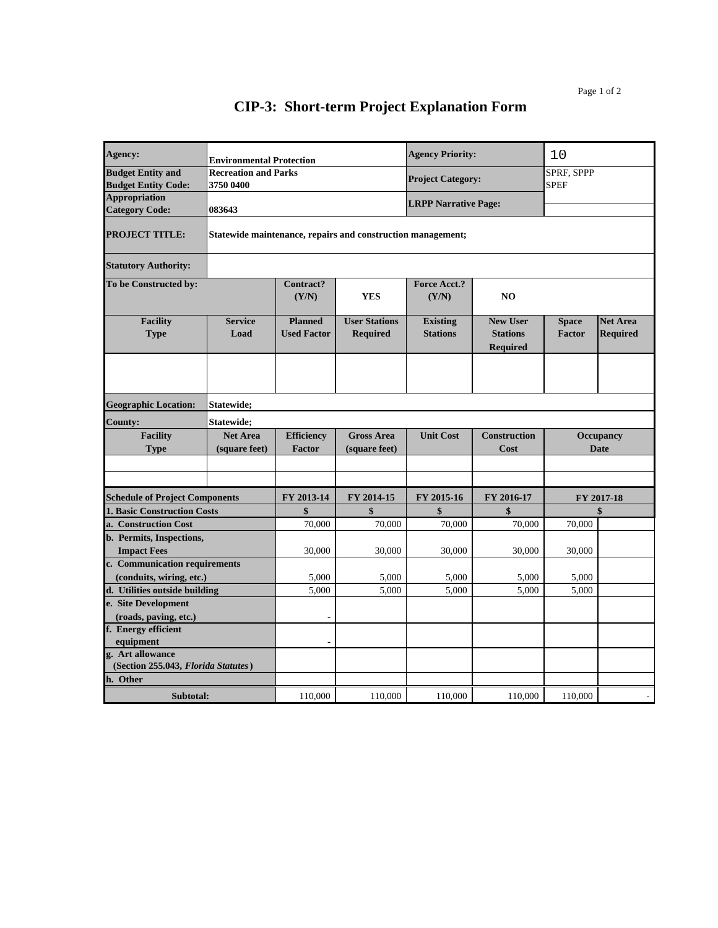| Agency:                                                |                                          | <b>Environmental Protection</b>      |                                                             | <b>Agency Priority:</b>            |                                                       | 10                              |                                    |
|--------------------------------------------------------|------------------------------------------|--------------------------------------|-------------------------------------------------------------|------------------------------------|-------------------------------------------------------|---------------------------------|------------------------------------|
| <b>Budget Entity and</b><br><b>Budget Entity Code:</b> | <b>Recreation and Parks</b><br>3750 0400 |                                      |                                                             | <b>Project Category:</b>           |                                                       | SPRF, SPPP<br><b>SPEF</b>       |                                    |
| <b>Appropriation</b><br><b>Category Code:</b>          | 083643                                   |                                      |                                                             | <b>LRPP Narrative Page:</b>        |                                                       |                                 |                                    |
| <b>PROJECT TITLE:</b>                                  |                                          |                                      | Statewide maintenance, repairs and construction management; |                                    |                                                       |                                 |                                    |
| <b>Statutory Authority:</b>                            |                                          |                                      |                                                             |                                    |                                                       |                                 |                                    |
| To be Constructed by:                                  |                                          | Contract?<br>(Y/N)                   | <b>YES</b>                                                  | Force Acct.?<br>(Y/N)              | N <sub>O</sub>                                        |                                 |                                    |
| <b>Facility</b><br><b>Type</b>                         | <b>Service</b><br>Load                   | <b>Planned</b><br><b>Used Factor</b> | <b>User Stations</b><br><b>Required</b>                     | <b>Existing</b><br><b>Stations</b> | <b>New User</b><br><b>Stations</b><br><b>Required</b> | <b>Space</b><br><b>Factor</b>   | <b>Net Area</b><br><b>Required</b> |
|                                                        |                                          |                                      |                                                             |                                    |                                                       |                                 |                                    |
| <b>Geographic Location:</b>                            | Statewide:                               |                                      |                                                             |                                    |                                                       |                                 |                                    |
| <b>County:</b>                                         | Statewide;                               |                                      |                                                             |                                    |                                                       |                                 |                                    |
| <b>Facility</b><br><b>Type</b>                         | <b>Net Area</b><br>(square feet)         | <b>Efficiency</b><br><b>Factor</b>   | <b>Gross Area</b><br>(square feet)                          | <b>Unit Cost</b>                   | <b>Construction</b><br>Cost                           | <b>Occupancy</b><br><b>Date</b> |                                    |
|                                                        |                                          |                                      |                                                             |                                    |                                                       |                                 |                                    |
|                                                        |                                          |                                      |                                                             |                                    |                                                       |                                 |                                    |
| <b>Schedule of Project Components</b>                  |                                          | FY 2013-14                           | FY 2014-15                                                  | FY 2015-16                         | FY 2016-17                                            |                                 | FY 2017-18                         |
| <b>1. Basic Construction Costs</b>                     |                                          | \$                                   | \$                                                          | \$                                 | \$                                                    |                                 | \$                                 |
| a. Construction Cost                                   |                                          | 70,000                               | 70,000                                                      | 70,000                             | 70,000                                                | 70,000                          |                                    |
| b. Permits, Inspections,                               |                                          |                                      |                                                             |                                    |                                                       |                                 |                                    |
| <b>Impact Fees</b>                                     |                                          | 30,000                               | 30,000                                                      | 30,000                             | 30,000                                                | 30,000                          |                                    |
| c. Communication requirements                          |                                          |                                      |                                                             |                                    |                                                       |                                 |                                    |
| (conduits, wiring, etc.)                               |                                          | 5,000                                | 5,000                                                       | 5,000                              | 5,000                                                 | 5,000                           |                                    |
| d. Utilities outside building<br>e. Site Development   |                                          | 5,000                                | 5,000                                                       | 5,000                              | 5,000                                                 | 5,000                           |                                    |
| (roads, paving, etc.)                                  |                                          |                                      |                                                             |                                    |                                                       |                                 |                                    |
| f. Energy efficient                                    |                                          |                                      |                                                             |                                    |                                                       |                                 |                                    |
| equipment                                              |                                          |                                      |                                                             |                                    |                                                       |                                 |                                    |
| g. Art allowance                                       |                                          |                                      |                                                             |                                    |                                                       |                                 |                                    |
| (Section 255.043, Florida Statutes)                    |                                          |                                      |                                                             |                                    |                                                       |                                 |                                    |
| h. Other                                               |                                          |                                      |                                                             |                                    |                                                       |                                 |                                    |
| Subtotal:                                              |                                          | 110,000                              | 110,000                                                     | 110,000                            | 110,000                                               | 110,000                         |                                    |